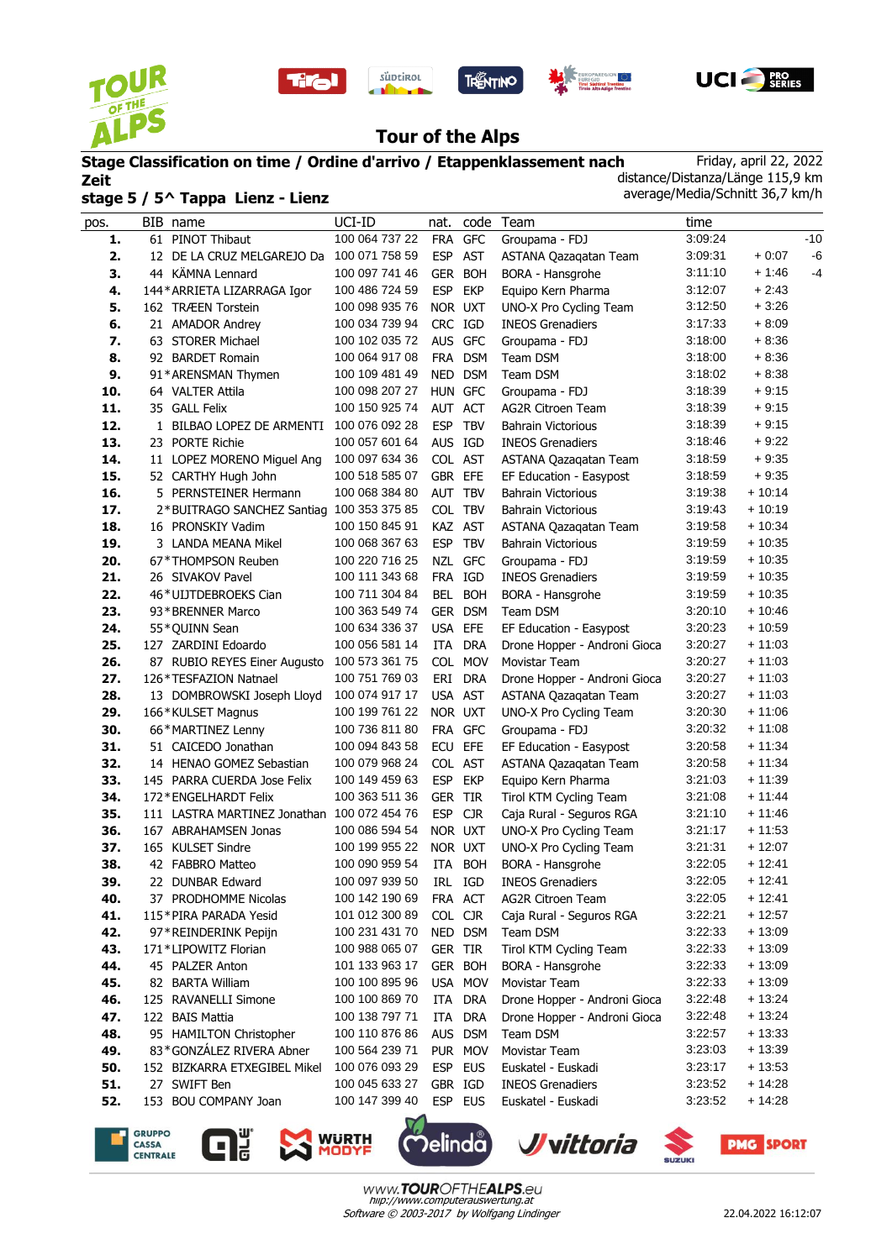

l.









# **Tour of the Alps**

# **Stage Classification on time / Ordine d'arrivo / Etappenklassement nach Zeit stage 5 / 5^ Tappa Lienz - Lienz**

Friday, april 22, 2022 distance/Distanza/Länge 115,9 km average/Media/Schnitt 36,7 km/h

| pos. | BIB name                                    | UCI-ID         | nat.       |            | code Team                     | time    |          |       |
|------|---------------------------------------------|----------------|------------|------------|-------------------------------|---------|----------|-------|
| 1.   | 61 PINOT Thibaut                            | 100 064 737 22 |            | FRA GFC    | Groupama - FDJ                | 3:09:24 |          | $-10$ |
| 2.   | 12 DE LA CRUZ MELGAREJO Da 100 071 758 59   |                |            | ESP AST    | ASTANA Qazaqatan Team         | 3:09:31 | $+0:07$  | -6    |
| 3.   | 44 KÄMNA Lennard                            | 100 097 741 46 | <b>GER</b> | <b>BOH</b> | BORA - Hansgrohe              | 3:11:10 | $+1:46$  | $-4$  |
| 4.   | 144* ARRIETA LIZARRAGA Igor                 | 100 486 724 59 | <b>ESP</b> | <b>EKP</b> | Equipo Kern Pharma            | 3:12:07 | $+2:43$  |       |
| 5.   | 162 TRÆEN Torstein                          | 100 098 935 76 | NOR UXT    |            | UNO-X Pro Cycling Team        | 3:12:50 | $+3:26$  |       |
| 6.   | 21 AMADOR Andrey                            | 100 034 739 94 | CRC IGD    |            | <b>INEOS Grenadiers</b>       | 3:17:33 | $+8:09$  |       |
| 7.   | 63 STORER Michael                           | 100 102 035 72 |            | AUS GFC    | Groupama - FDJ                | 3:18:00 | $+8:36$  |       |
| 8.   | 92 BARDET Romain                            | 100 064 917 08 |            | FRA DSM    | Team DSM                      | 3:18:00 | $+8:36$  |       |
| 9.   | 91*ARENSMAN Thymen                          | 100 109 481 49 |            | NED DSM    | Team DSM                      | 3:18:02 | $+8:38$  |       |
| 10.  | 64 VALTER Attila                            | 100 098 207 27 | HUN GFC    |            | Groupama - FDJ                | 3:18:39 | $+9:15$  |       |
| 11.  | 35 GALL Felix                               | 100 150 925 74 | AUT ACT    |            | <b>AG2R Citroen Team</b>      | 3:18:39 | $+9:15$  |       |
| 12.  | 1 BILBAO LOPEZ DE ARMENTI                   | 100 076 092 28 | <b>ESP</b> | <b>TBV</b> | <b>Bahrain Victorious</b>     | 3:18:39 | $+9:15$  |       |
| 13.  | 23 PORTE Richie                             | 100 057 601 64 | AUS IGD    |            | <b>INEOS Grenadiers</b>       | 3:18:46 | $+9:22$  |       |
| 14.  | 11 LOPEZ MORENO Miguel Ang                  | 100 097 634 36 | COL AST    |            | ASTANA Qazagatan Team         | 3:18:59 | $+9:35$  |       |
| 15.  | 52 CARTHY Hugh John                         | 100 518 585 07 | GBR EFE    |            | EF Education - Easypost       | 3:18:59 | + 9:35   |       |
| 16.  | 5 PERNSTEINER Hermann                       | 100 068 384 80 | AUT        | <b>TBV</b> | <b>Bahrain Victorious</b>     | 3:19:38 | $+10:14$ |       |
| 17.  | 2*BUITRAGO SANCHEZ Santiag 100 353 375 85   |                | COL TBV    |            | <b>Bahrain Victorious</b>     | 3:19:43 | + 10:19  |       |
| 18.  | 16 PRONSKIY Vadim                           | 100 150 845 91 |            | KAZ AST    | ASTANA Qazaqatan Team         | 3:19:58 | $+10:34$ |       |
| 19.  | 3 LANDA MEANA Mikel                         | 100 068 367 63 | <b>ESP</b> | <b>TBV</b> | <b>Bahrain Victorious</b>     | 3:19:59 | $+10:35$ |       |
| 20.  | 67*THOMPSON Reuben                          | 100 220 716 25 | <b>NZL</b> | <b>GFC</b> | Groupama - FDJ                | 3:19:59 | $+10:35$ |       |
| 21.  | 26 SIVAKOV Pavel                            | 100 111 343 68 |            | FRA IGD    | <b>INEOS Grenadiers</b>       | 3:19:59 | $+10:35$ |       |
| 22.  | 46*UIJTDEBROEKS Cian                        | 100 711 304 84 |            | BEL BOH    | BORA - Hansgrohe              | 3:19:59 | $+10:35$ |       |
| 23.  | 93*BRENNER Marco                            | 100 363 549 74 |            | GER DSM    | Team DSM                      | 3:20:10 | + 10:46  |       |
| 24.  | 55*QUINN Sean                               | 100 634 336 37 | USA EFE    |            | EF Education - Easypost       | 3:20:23 | + 10:59  |       |
| 25.  | 127 ZARDINI Edoardo                         | 100 056 581 14 | <b>ITA</b> | <b>DRA</b> | Drone Hopper - Androni Gioca  | 3:20:27 | $+11:03$ |       |
| 26.  | 87 RUBIO REYES Einer Augusto                | 100 573 361 75 |            | COL MOV    | Movistar Team                 | 3:20:27 | $+11:03$ |       |
| 27.  | 126*TESFAZION Natnael                       | 100 751 769 03 | ERI        | DRA        | Drone Hopper - Androni Gioca  | 3:20:27 | $+11:03$ |       |
| 28.  | 13 DOMBROWSKI Joseph Lloyd                  | 100 074 917 17 | USA AST    |            | ASTANA Qazaqatan Team         | 3:20:27 | $+11:03$ |       |
| 29.  | 166*KULSET Magnus                           | 100 199 761 22 | NOR UXT    |            | UNO-X Pro Cycling Team        | 3:20:30 | + 11:06  |       |
| 30.  | 66*MARTINEZ Lenny                           | 100 736 811 80 |            | FRA GFC    | Groupama - FDJ                | 3:20:32 | $+11:08$ |       |
| 31.  | 51 CAICEDO Jonathan                         | 100 094 843 58 | <b>ECU</b> | EFE        | EF Education - Easypost       | 3:20:58 | $+11:34$ |       |
| 32.  | 14 HENAO GOMEZ Sebastian                    | 100 079 968 24 |            | COL AST    | ASTANA Qazaqatan Team         | 3:20:58 | + 11:34  |       |
| 33.  | 145 PARRA CUERDA Jose Felix                 | 100 149 459 63 | <b>ESP</b> | <b>EKP</b> | Equipo Kern Pharma            | 3:21:03 | $+11:39$ |       |
| 34.  | 172*ENGELHARDT Felix                        | 100 363 511 36 | GER        | <b>TIR</b> | Tirol KTM Cycling Team        | 3:21:08 | + 11:44  |       |
| 35.  | 111 LASTRA MARTINEZ Jonathan 100 072 454 76 |                | <b>ESP</b> | <b>CJR</b> | Caja Rural - Seguros RGA      | 3:21:10 | + 11:46  |       |
| 36.  | 167 ABRAHAMSEN Jonas                        | 100 086 594 54 | NOR UXT    |            | <b>UNO-X Pro Cycling Team</b> | 3:21:17 | $+11:53$ |       |
| 37.  | 165 KULSET Sindre                           | 100 199 955 22 | NOR UXT    |            | UNO-X Pro Cycling Team        | 3:21:31 | $+12:07$ |       |
| 38.  | 42 FABBRO Matteo                            | 100 090 959 54 | ITA        | <b>BOH</b> | <b>BORA - Hansgrohe</b>       | 3:22:05 | $+12:41$ |       |
| 39.  | 22 DUNBAR Edward                            | 100 097 939 50 | IRL        | IGD        | <b>INEOS Grenadiers</b>       | 3:22:05 | $+12:41$ |       |
| 40.  | 37 PRODHOMME Nicolas                        | 100 142 190 69 |            | FRA ACT    | AG2R Citroen Team             | 3:22:05 | $+12:41$ |       |
| 41.  | 115*PIRA PARADA Yesid                       | 101 012 300 89 | COL CJR    |            | Caja Rural - Seguros RGA      | 3:22:21 | $+12:57$ |       |
| 42.  | 97*REINDERINK Pepijn                        | 100 231 431 70 |            | NED DSM    | Team DSM                      | 3:22:33 | $+13:09$ |       |
| 43.  | 171*LIPOWITZ Florian                        | 100 988 065 07 | GER TIR    |            | Tirol KTM Cycling Team        | 3:22:33 | $+13:09$ |       |
| 44.  | 45 PALZER Anton                             | 101 133 963 17 |            | GER BOH    | BORA - Hansgrohe              | 3:22:33 | $+13:09$ |       |
| 45.  | 82 BARTA William                            | 100 100 895 96 |            | USA MOV    | Movistar Team                 | 3:22:33 | $+13:09$ |       |
| 46.  | 125 RAVANELLI Simone                        | 100 100 869 70 | ITA        | <b>DRA</b> | Drone Hopper - Androni Gioca  | 3:22:48 | $+13:24$ |       |
| 47.  | 122 BAIS Mattia                             | 100 138 797 71 |            | ITA DRA    | Drone Hopper - Androni Gioca  | 3:22:48 | $+13:24$ |       |
| 48.  | 95 HAMILTON Christopher                     | 100 110 876 86 |            | AUS DSM    | Team DSM                      | 3:22:57 | $+13:33$ |       |
| 49.  | 83*GONZÁLEZ RIVERA Abner                    | 100 564 239 71 |            | PUR MOV    | Movistar Team                 | 3:23:03 | $+13:39$ |       |
| 50.  | 152 BIZKARRA ETXEGIBEL Mikel                | 100 076 093 29 |            | ESP EUS    | Euskatel - Euskadi            | 3:23:17 | $+13:53$ |       |
| 51.  | 27 SWIFT Ben                                | 100 045 633 27 | GBR IGD    |            | <b>INEOS Grenadiers</b>       | 3:23:52 | + 14:28  |       |
| 52.  | 153 BOU COMPANY Joan                        | 100 147 399 40 |            | ESP EUS    | Euskatel - Euskadi            | 3:23:52 | $+14:28$ |       |
|      |                                             |                |            |            |                               |         |          |       |









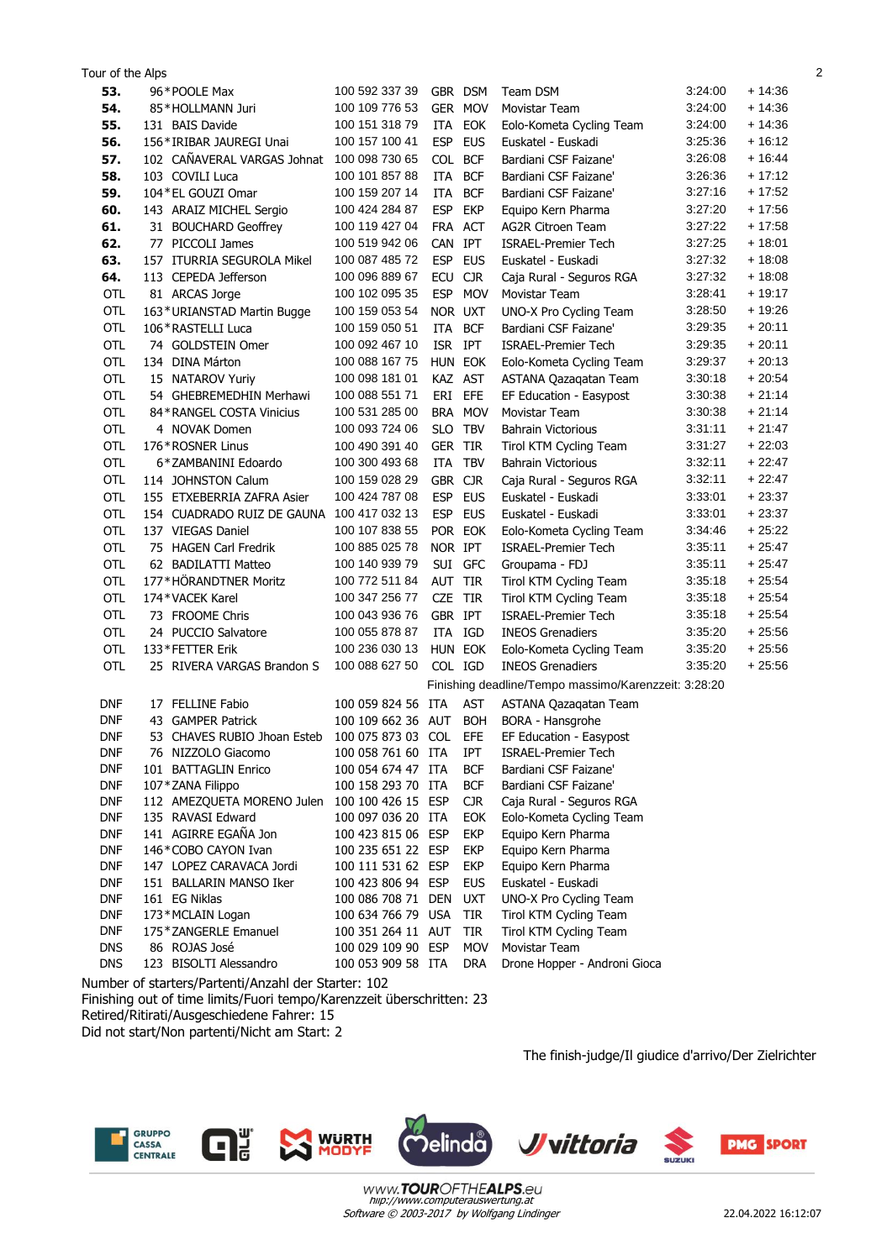| 53.<br>100 592 337 39<br>3:24:00<br>+ 14:36<br>96*POOLE Max<br>GBR DSM<br><b>Team DSM</b><br>100 109 776 53<br>$+14:36$<br>54.<br>GER MOV<br>3:24:00<br>85*HOLLMANN Juri<br>Movistar Team<br>100 151 318 79<br>$+14:36$<br>55.<br>131 BAIS Davide<br>ITA EOK<br>3:24:00<br>Eolo-Kometa Cycling Team<br>100 157 100 41<br><b>ESP</b><br>$+16:12$<br>56.<br>156*IRIBAR JAUREGI Unai<br><b>EUS</b><br>3:25:36<br>Euskatel - Euskadi<br>102 CAÑAVERAL VARGAS Johnat<br>COL BCF<br>3:26:08<br>$+16:44$<br>57.<br>100 098 730 65<br>Bardiani CSF Faizane'<br>3:26:36<br>$+17:12$<br>58.<br>103 COVILI Luca<br>100 101 857 88<br>ITA<br><b>BCF</b><br>Bardiani CSF Faizane'<br>3:27:16<br>$+17:52$<br>59.<br>104 * EL GOUZI Omar<br>100 159 207 14<br>ITA<br><b>BCF</b><br>Bardiani CSF Faizane'<br>143 ARAIZ MICHEL Sergio<br><b>ESP</b><br><b>EKP</b><br>$+17:56$<br>60.<br>100 424 284 87<br>Equipo Kern Pharma<br>3:27:20<br>100 119 427 04<br>3:27:22<br>$+17:58$<br>61.<br>FRA ACT<br><b>AG2R Citroen Team</b><br>31 BOUCHARD Geoffrey<br>$+18:01$<br>62.<br>77 PICCOLI James<br>100 519 942 06<br>CAN IPT<br><b>ISRAEL-Premier Tech</b><br>3:27:25<br>100 087 485 72<br><b>ESP</b><br><b>EUS</b><br>3.27:32<br>$+18:08$<br>63.<br>157 ITURRIA SEGUROLA Mikel<br>Euskatel - Euskadi<br>64.<br>113 CEPEDA Jefferson<br>100 096 889 67<br>ECU<br><b>CJR</b><br>3:27:32<br>$+18:08$<br>Caja Rural - Seguros RGA<br>100 102 095 35<br><b>ESP</b><br>3:28:41<br>$+19:17$<br>81 ARCAS Jorge<br><b>MOV</b><br>OTL<br>Movistar Team<br>$+19:26$<br><b>OTL</b><br>163*URIANSTAD Martin Bugge<br>100 159 053 54<br>NOR UXT<br>3:28:50<br>UNO-X Pro Cycling Team<br>3:29:35<br>$+20:11$<br><b>OTL</b><br>ITA<br><b>BCF</b><br>106 * RASTELLI Luca<br>100 159 050 51<br>Bardiani CSF Faizane'<br>$+20:11$<br><b>OTL</b><br>74 GOLDSTEIN Omer<br>100 092 467 10<br>ISR IPT<br>3:29:35<br><b>ISRAEL-Premier Tech</b><br><b>OTL</b><br>134 DINA Márton<br>100 088 167 75<br>HUN EOK<br>$+20:13$<br>Eolo-Kometa Cycling Team<br>3:29:37<br>OTL<br>100 098 181 01<br>3:30:18<br>$+20:54$<br>15 NATAROV Yuriy<br>KAZ AST<br>ASTANA Qazagatan Team<br>ERI EFE<br>OTL<br>100 088 551 71<br>3:30:38<br>$+21:14$<br>54 GHEBREMEDHIN Merhawi<br>EF Education - Easypost<br>OTL<br>100 531 285 00<br>BRA MOV<br>$+21:14$<br>84*RANGEL COSTA Vinicius<br><b>Movistar Team</b><br>3:30:38<br>100 093 724 06<br>$+21:47$<br><b>OTL</b><br>4 NOVAK Domen<br>SLO TBV<br>3:31:11<br><b>Bahrain Victorious</b><br>$+22:03$<br><b>OTL</b><br>176*ROSNER Linus<br>100 490 391 40<br><b>GER TIR</b><br>3:31:27<br>Tirol KTM Cycling Team<br>$+22:47$<br><b>OTL</b><br>6*ZAMBANINI Edoardo<br>100 300 493 68<br>ITA<br><b>TBV</b><br>3:32:11<br><b>Bahrain Victorious</b><br>$+22:47$<br>OTL<br>114 JOHNSTON Calum<br>100 159 028 29<br>GBR CJR<br>3:32:11<br>Caja Rural - Seguros RGA<br>155 ETXEBERRIA ZAFRA Asier<br>ESP EUS<br>OTL<br>100 424 787 08<br>Euskatel - Euskadi<br>3:33:01<br>$+23:37$<br>OTL<br>100 417 032 13<br>$+23:37$<br>154 CUADRADO RUIZ DE GAUNA<br>ESP EUS<br>Euskatel - Euskadi<br>3:33:01<br>OTL<br>137 VIEGAS Daniel<br>POR EOK<br>$+25:22$<br>100 107 838 55<br>Eolo-Kometa Cycling Team<br>3:34:46<br>OTL<br>100 885 025 78<br>NOR IPT<br>$+25:47$<br>75 HAGEN Carl Fredrik<br>3:35:11<br><b>ISRAEL-Premier Tech</b><br>100 140 939 79<br>$+25:47$<br>OTL<br>62 BADILATTI Matteo<br>SUI GFC<br>3:35:11<br>Groupama - FDJ<br>$+25:54$<br>OTL<br>177*HÖRANDTNER Moritz<br>100 772 511 84<br>AUT TIR<br>Tirol KTM Cycling Team<br>3:35:18<br>$+25:54$<br><b>OTL</b><br>174*VACEK Karel<br>100 347 256 77<br><b>CZE</b><br>TIR<br>Tirol KTM Cycling Team<br>3:35:18<br>GBR IPT<br>3:35:18<br>$+25:54$<br>OTL<br>100 043 936 76<br>73 FROOME Chris<br><b>ISRAEL-Premier Tech</b><br>OTL<br>24 PUCCIO Salvatore<br>100 055 878 87<br>ITA IGD<br><b>INEOS Grenadiers</b><br>3:35:20<br>$+25:56$<br><b>OTL</b><br>100 236 030 13<br>$+25:56$<br>133*FETTER Erik<br>HUN EOK<br>3:35:20<br>Eolo-Kometa Cycling Team<br><b>OTL</b><br>100 088 627 50<br>COL IGD<br>$+25:56$<br>25 RIVERA VARGAS Brandon S<br><b>INEOS Grenadiers</b><br>3:35:20<br>Finishing deadline/Tempo massimo/Karenzzeit: 3:28:20<br>17 FELLINE Fabio<br>100 059 824 56 ITA<br><b>AST</b><br><b>DNF</b><br>ASTANA Qazaqatan Team<br><b>DNF</b><br>43 GAMPER Patrick<br>100 109 662 36 AUT BOH<br><b>BORA - Hansgrohe</b><br><b>DNF</b><br>53 CHAVES RUBIO Jhoan Esteb 100 075 873 03 COL EFE<br>EF Education - Easypost<br><b>DNF</b><br>100 058 761 60 ITA<br>IPT<br><b>ISRAEL-Premier Tech</b><br>76 NIZZOLO Giacomo<br><b>DNF</b><br>100 054 674 47 ITA<br><b>BCF</b><br>Bardiani CSF Faizane'<br>101 BATTAGLIN Enrico<br><b>DNF</b><br>107*ZANA Filippo<br>100 158 293 70 ITA<br><b>BCF</b><br>Bardiani CSF Faizane'<br><b>DNF</b><br><b>CJR</b><br>112 AMEZQUETA MORENO Julen<br>100 100 426 15 ESP<br>Caja Rural - Seguros RGA<br><b>DNF</b><br>135 RAVASI Edward<br>100 097 036 20 ITA<br>EOK<br>Eolo-Kometa Cycling Team<br>141 AGIRRE EGAÑA Jon<br><b>DNF</b><br><b>EKP</b><br>100 423 815 06 ESP<br>Equipo Kern Pharma<br><b>DNF</b><br>146*COBO CAYON Ivan<br><b>EKP</b><br>100 235 651 22 ESP<br>Equipo Kern Pharma<br><b>DNF</b><br>147 LOPEZ CARAVACA Jordi<br>100 111 531 62 ESP<br>EKP<br>Equipo Kern Pharma<br><b>DNF</b><br>151 BALLARIN MANSO Iker<br>100 423 806 94 ESP<br><b>EUS</b><br>Euskatel - Euskadi<br><b>DNF</b><br>161 EG Niklas<br>100 086 708 71 DEN<br><b>UXT</b><br>UNO-X Pro Cycling Team<br><b>DNF</b><br>173*MCLAIN Logan<br>100 634 766 79 USA<br>TIR<br>Tirol KTM Cycling Team<br><b>DNF</b><br>175 * ZANGERLE Emanuel<br>100 351 264 11 AUT<br>TIR<br>Tirol KTM Cycling Team<br><b>DNS</b><br>86 ROJAS José<br>100 029 109 90 ESP<br><b>MOV</b><br>Movistar Team<br><b>DNS</b><br>123 BISOLTI Alessandro<br>Drone Hopper - Androni Gioca<br>100 053 909 58 ITA<br><b>DRA</b> | Tour of the Alps |  |  |  | $\overline{2}$ |
|---------------------------------------------------------------------------------------------------------------------------------------------------------------------------------------------------------------------------------------------------------------------------------------------------------------------------------------------------------------------------------------------------------------------------------------------------------------------------------------------------------------------------------------------------------------------------------------------------------------------------------------------------------------------------------------------------------------------------------------------------------------------------------------------------------------------------------------------------------------------------------------------------------------------------------------------------------------------------------------------------------------------------------------------------------------------------------------------------------------------------------------------------------------------------------------------------------------------------------------------------------------------------------------------------------------------------------------------------------------------------------------------------------------------------------------------------------------------------------------------------------------------------------------------------------------------------------------------------------------------------------------------------------------------------------------------------------------------------------------------------------------------------------------------------------------------------------------------------------------------------------------------------------------------------------------------------------------------------------------------------------------------------------------------------------------------------------------------------------------------------------------------------------------------------------------------------------------------------------------------------------------------------------------------------------------------------------------------------------------------------------------------------------------------------------------------------------------------------------------------------------------------------------------------------------------------------------------------------------------------------------------------------------------------------------------------------------------------------------------------------------------------------------------------------------------------------------------------------------------------------------------------------------------------------------------------------------------------------------------------------------------------------------------------------------------------------------------------------------------------------------------------------------------------------------------------------------------------------------------------------------------------------------------------------------------------------------------------------------------------------------------------------------------------------------------------------------------------------------------------------------------------------------------------------------------------------------------------------------------------------------------------------------------------------------------------------------------------------------------------------------------------------------------------------------------------------------------------------------------------------------------------------------------------------------------------------------------------------------------------------------------------------------------------------------------------------------------------------------------------------------------------------------------------------------------------------------------------------------------------------------------------------------------------------------------------------------------------------------------------------------------------------------------------------------------------------------------------------------------------------------------------------------------------------------------------------------------------------------------------------------------------------------------------------------------------------------------------------------------------------------------------------------------------------------------------------------------------------------------------------------------------------------------------------------------------------------------------------------------------------------------------------------------------------------------------------------------------------------------------------------------------------------------------------------------------------------------------------------------------------------------------------------------------------------------------------------------------------------------------------------------------------------------------------------------------------------------------------------------------------------------------------------------------------------------------------------------------------------------------------------------------------------------------------------------------------------------------------------------------------------------------------------------------------------------------------------------------------------------------------|------------------|--|--|--|----------------|
|                                                                                                                                                                                                                                                                                                                                                                                                                                                                                                                                                                                                                                                                                                                                                                                                                                                                                                                                                                                                                                                                                                                                                                                                                                                                                                                                                                                                                                                                                                                                                                                                                                                                                                                                                                                                                                                                                                                                                                                                                                                                                                                                                                                                                                                                                                                                                                                                                                                                                                                                                                                                                                                                                                                                                                                                                                                                                                                                                                                                                                                                                                                                                                                                                                                                                                                                                                                                                                                                                                                                                                                                                                                                                                                                                                                                                                                                                                                                                                                                                                                                                                                                                                                                                                                                                                                                                                                                                                                                                                                                                                                                                                                                                                                                                                                                                                                                                                                                                                                                                                                                                                                                                                                                                                                                                                                                                                                                                                                                                                                                                                                                                                                                                                                                                                                                                                                                           |                  |  |  |  |                |
|                                                                                                                                                                                                                                                                                                                                                                                                                                                                                                                                                                                                                                                                                                                                                                                                                                                                                                                                                                                                                                                                                                                                                                                                                                                                                                                                                                                                                                                                                                                                                                                                                                                                                                                                                                                                                                                                                                                                                                                                                                                                                                                                                                                                                                                                                                                                                                                                                                                                                                                                                                                                                                                                                                                                                                                                                                                                                                                                                                                                                                                                                                                                                                                                                                                                                                                                                                                                                                                                                                                                                                                                                                                                                                                                                                                                                                                                                                                                                                                                                                                                                                                                                                                                                                                                                                                                                                                                                                                                                                                                                                                                                                                                                                                                                                                                                                                                                                                                                                                                                                                                                                                                                                                                                                                                                                                                                                                                                                                                                                                                                                                                                                                                                                                                                                                                                                                                           |                  |  |  |  |                |
|                                                                                                                                                                                                                                                                                                                                                                                                                                                                                                                                                                                                                                                                                                                                                                                                                                                                                                                                                                                                                                                                                                                                                                                                                                                                                                                                                                                                                                                                                                                                                                                                                                                                                                                                                                                                                                                                                                                                                                                                                                                                                                                                                                                                                                                                                                                                                                                                                                                                                                                                                                                                                                                                                                                                                                                                                                                                                                                                                                                                                                                                                                                                                                                                                                                                                                                                                                                                                                                                                                                                                                                                                                                                                                                                                                                                                                                                                                                                                                                                                                                                                                                                                                                                                                                                                                                                                                                                                                                                                                                                                                                                                                                                                                                                                                                                                                                                                                                                                                                                                                                                                                                                                                                                                                                                                                                                                                                                                                                                                                                                                                                                                                                                                                                                                                                                                                                                           |                  |  |  |  |                |
|                                                                                                                                                                                                                                                                                                                                                                                                                                                                                                                                                                                                                                                                                                                                                                                                                                                                                                                                                                                                                                                                                                                                                                                                                                                                                                                                                                                                                                                                                                                                                                                                                                                                                                                                                                                                                                                                                                                                                                                                                                                                                                                                                                                                                                                                                                                                                                                                                                                                                                                                                                                                                                                                                                                                                                                                                                                                                                                                                                                                                                                                                                                                                                                                                                                                                                                                                                                                                                                                                                                                                                                                                                                                                                                                                                                                                                                                                                                                                                                                                                                                                                                                                                                                                                                                                                                                                                                                                                                                                                                                                                                                                                                                                                                                                                                                                                                                                                                                                                                                                                                                                                                                                                                                                                                                                                                                                                                                                                                                                                                                                                                                                                                                                                                                                                                                                                                                           |                  |  |  |  |                |
|                                                                                                                                                                                                                                                                                                                                                                                                                                                                                                                                                                                                                                                                                                                                                                                                                                                                                                                                                                                                                                                                                                                                                                                                                                                                                                                                                                                                                                                                                                                                                                                                                                                                                                                                                                                                                                                                                                                                                                                                                                                                                                                                                                                                                                                                                                                                                                                                                                                                                                                                                                                                                                                                                                                                                                                                                                                                                                                                                                                                                                                                                                                                                                                                                                                                                                                                                                                                                                                                                                                                                                                                                                                                                                                                                                                                                                                                                                                                                                                                                                                                                                                                                                                                                                                                                                                                                                                                                                                                                                                                                                                                                                                                                                                                                                                                                                                                                                                                                                                                                                                                                                                                                                                                                                                                                                                                                                                                                                                                                                                                                                                                                                                                                                                                                                                                                                                                           |                  |  |  |  |                |
|                                                                                                                                                                                                                                                                                                                                                                                                                                                                                                                                                                                                                                                                                                                                                                                                                                                                                                                                                                                                                                                                                                                                                                                                                                                                                                                                                                                                                                                                                                                                                                                                                                                                                                                                                                                                                                                                                                                                                                                                                                                                                                                                                                                                                                                                                                                                                                                                                                                                                                                                                                                                                                                                                                                                                                                                                                                                                                                                                                                                                                                                                                                                                                                                                                                                                                                                                                                                                                                                                                                                                                                                                                                                                                                                                                                                                                                                                                                                                                                                                                                                                                                                                                                                                                                                                                                                                                                                                                                                                                                                                                                                                                                                                                                                                                                                                                                                                                                                                                                                                                                                                                                                                                                                                                                                                                                                                                                                                                                                                                                                                                                                                                                                                                                                                                                                                                                                           |                  |  |  |  |                |
|                                                                                                                                                                                                                                                                                                                                                                                                                                                                                                                                                                                                                                                                                                                                                                                                                                                                                                                                                                                                                                                                                                                                                                                                                                                                                                                                                                                                                                                                                                                                                                                                                                                                                                                                                                                                                                                                                                                                                                                                                                                                                                                                                                                                                                                                                                                                                                                                                                                                                                                                                                                                                                                                                                                                                                                                                                                                                                                                                                                                                                                                                                                                                                                                                                                                                                                                                                                                                                                                                                                                                                                                                                                                                                                                                                                                                                                                                                                                                                                                                                                                                                                                                                                                                                                                                                                                                                                                                                                                                                                                                                                                                                                                                                                                                                                                                                                                                                                                                                                                                                                                                                                                                                                                                                                                                                                                                                                                                                                                                                                                                                                                                                                                                                                                                                                                                                                                           |                  |  |  |  |                |
|                                                                                                                                                                                                                                                                                                                                                                                                                                                                                                                                                                                                                                                                                                                                                                                                                                                                                                                                                                                                                                                                                                                                                                                                                                                                                                                                                                                                                                                                                                                                                                                                                                                                                                                                                                                                                                                                                                                                                                                                                                                                                                                                                                                                                                                                                                                                                                                                                                                                                                                                                                                                                                                                                                                                                                                                                                                                                                                                                                                                                                                                                                                                                                                                                                                                                                                                                                                                                                                                                                                                                                                                                                                                                                                                                                                                                                                                                                                                                                                                                                                                                                                                                                                                                                                                                                                                                                                                                                                                                                                                                                                                                                                                                                                                                                                                                                                                                                                                                                                                                                                                                                                                                                                                                                                                                                                                                                                                                                                                                                                                                                                                                                                                                                                                                                                                                                                                           |                  |  |  |  |                |
|                                                                                                                                                                                                                                                                                                                                                                                                                                                                                                                                                                                                                                                                                                                                                                                                                                                                                                                                                                                                                                                                                                                                                                                                                                                                                                                                                                                                                                                                                                                                                                                                                                                                                                                                                                                                                                                                                                                                                                                                                                                                                                                                                                                                                                                                                                                                                                                                                                                                                                                                                                                                                                                                                                                                                                                                                                                                                                                                                                                                                                                                                                                                                                                                                                                                                                                                                                                                                                                                                                                                                                                                                                                                                                                                                                                                                                                                                                                                                                                                                                                                                                                                                                                                                                                                                                                                                                                                                                                                                                                                                                                                                                                                                                                                                                                                                                                                                                                                                                                                                                                                                                                                                                                                                                                                                                                                                                                                                                                                                                                                                                                                                                                                                                                                                                                                                                                                           |                  |  |  |  |                |
|                                                                                                                                                                                                                                                                                                                                                                                                                                                                                                                                                                                                                                                                                                                                                                                                                                                                                                                                                                                                                                                                                                                                                                                                                                                                                                                                                                                                                                                                                                                                                                                                                                                                                                                                                                                                                                                                                                                                                                                                                                                                                                                                                                                                                                                                                                                                                                                                                                                                                                                                                                                                                                                                                                                                                                                                                                                                                                                                                                                                                                                                                                                                                                                                                                                                                                                                                                                                                                                                                                                                                                                                                                                                                                                                                                                                                                                                                                                                                                                                                                                                                                                                                                                                                                                                                                                                                                                                                                                                                                                                                                                                                                                                                                                                                                                                                                                                                                                                                                                                                                                                                                                                                                                                                                                                                                                                                                                                                                                                                                                                                                                                                                                                                                                                                                                                                                                                           |                  |  |  |  |                |
|                                                                                                                                                                                                                                                                                                                                                                                                                                                                                                                                                                                                                                                                                                                                                                                                                                                                                                                                                                                                                                                                                                                                                                                                                                                                                                                                                                                                                                                                                                                                                                                                                                                                                                                                                                                                                                                                                                                                                                                                                                                                                                                                                                                                                                                                                                                                                                                                                                                                                                                                                                                                                                                                                                                                                                                                                                                                                                                                                                                                                                                                                                                                                                                                                                                                                                                                                                                                                                                                                                                                                                                                                                                                                                                                                                                                                                                                                                                                                                                                                                                                                                                                                                                                                                                                                                                                                                                                                                                                                                                                                                                                                                                                                                                                                                                                                                                                                                                                                                                                                                                                                                                                                                                                                                                                                                                                                                                                                                                                                                                                                                                                                                                                                                                                                                                                                                                                           |                  |  |  |  |                |
|                                                                                                                                                                                                                                                                                                                                                                                                                                                                                                                                                                                                                                                                                                                                                                                                                                                                                                                                                                                                                                                                                                                                                                                                                                                                                                                                                                                                                                                                                                                                                                                                                                                                                                                                                                                                                                                                                                                                                                                                                                                                                                                                                                                                                                                                                                                                                                                                                                                                                                                                                                                                                                                                                                                                                                                                                                                                                                                                                                                                                                                                                                                                                                                                                                                                                                                                                                                                                                                                                                                                                                                                                                                                                                                                                                                                                                                                                                                                                                                                                                                                                                                                                                                                                                                                                                                                                                                                                                                                                                                                                                                                                                                                                                                                                                                                                                                                                                                                                                                                                                                                                                                                                                                                                                                                                                                                                                                                                                                                                                                                                                                                                                                                                                                                                                                                                                                                           |                  |  |  |  |                |
|                                                                                                                                                                                                                                                                                                                                                                                                                                                                                                                                                                                                                                                                                                                                                                                                                                                                                                                                                                                                                                                                                                                                                                                                                                                                                                                                                                                                                                                                                                                                                                                                                                                                                                                                                                                                                                                                                                                                                                                                                                                                                                                                                                                                                                                                                                                                                                                                                                                                                                                                                                                                                                                                                                                                                                                                                                                                                                                                                                                                                                                                                                                                                                                                                                                                                                                                                                                                                                                                                                                                                                                                                                                                                                                                                                                                                                                                                                                                                                                                                                                                                                                                                                                                                                                                                                                                                                                                                                                                                                                                                                                                                                                                                                                                                                                                                                                                                                                                                                                                                                                                                                                                                                                                                                                                                                                                                                                                                                                                                                                                                                                                                                                                                                                                                                                                                                                                           |                  |  |  |  |                |
|                                                                                                                                                                                                                                                                                                                                                                                                                                                                                                                                                                                                                                                                                                                                                                                                                                                                                                                                                                                                                                                                                                                                                                                                                                                                                                                                                                                                                                                                                                                                                                                                                                                                                                                                                                                                                                                                                                                                                                                                                                                                                                                                                                                                                                                                                                                                                                                                                                                                                                                                                                                                                                                                                                                                                                                                                                                                                                                                                                                                                                                                                                                                                                                                                                                                                                                                                                                                                                                                                                                                                                                                                                                                                                                                                                                                                                                                                                                                                                                                                                                                                                                                                                                                                                                                                                                                                                                                                                                                                                                                                                                                                                                                                                                                                                                                                                                                                                                                                                                                                                                                                                                                                                                                                                                                                                                                                                                                                                                                                                                                                                                                                                                                                                                                                                                                                                                                           |                  |  |  |  |                |
|                                                                                                                                                                                                                                                                                                                                                                                                                                                                                                                                                                                                                                                                                                                                                                                                                                                                                                                                                                                                                                                                                                                                                                                                                                                                                                                                                                                                                                                                                                                                                                                                                                                                                                                                                                                                                                                                                                                                                                                                                                                                                                                                                                                                                                                                                                                                                                                                                                                                                                                                                                                                                                                                                                                                                                                                                                                                                                                                                                                                                                                                                                                                                                                                                                                                                                                                                                                                                                                                                                                                                                                                                                                                                                                                                                                                                                                                                                                                                                                                                                                                                                                                                                                                                                                                                                                                                                                                                                                                                                                                                                                                                                                                                                                                                                                                                                                                                                                                                                                                                                                                                                                                                                                                                                                                                                                                                                                                                                                                                                                                                                                                                                                                                                                                                                                                                                                                           |                  |  |  |  |                |
|                                                                                                                                                                                                                                                                                                                                                                                                                                                                                                                                                                                                                                                                                                                                                                                                                                                                                                                                                                                                                                                                                                                                                                                                                                                                                                                                                                                                                                                                                                                                                                                                                                                                                                                                                                                                                                                                                                                                                                                                                                                                                                                                                                                                                                                                                                                                                                                                                                                                                                                                                                                                                                                                                                                                                                                                                                                                                                                                                                                                                                                                                                                                                                                                                                                                                                                                                                                                                                                                                                                                                                                                                                                                                                                                                                                                                                                                                                                                                                                                                                                                                                                                                                                                                                                                                                                                                                                                                                                                                                                                                                                                                                                                                                                                                                                                                                                                                                                                                                                                                                                                                                                                                                                                                                                                                                                                                                                                                                                                                                                                                                                                                                                                                                                                                                                                                                                                           |                  |  |  |  |                |
|                                                                                                                                                                                                                                                                                                                                                                                                                                                                                                                                                                                                                                                                                                                                                                                                                                                                                                                                                                                                                                                                                                                                                                                                                                                                                                                                                                                                                                                                                                                                                                                                                                                                                                                                                                                                                                                                                                                                                                                                                                                                                                                                                                                                                                                                                                                                                                                                                                                                                                                                                                                                                                                                                                                                                                                                                                                                                                                                                                                                                                                                                                                                                                                                                                                                                                                                                                                                                                                                                                                                                                                                                                                                                                                                                                                                                                                                                                                                                                                                                                                                                                                                                                                                                                                                                                                                                                                                                                                                                                                                                                                                                                                                                                                                                                                                                                                                                                                                                                                                                                                                                                                                                                                                                                                                                                                                                                                                                                                                                                                                                                                                                                                                                                                                                                                                                                                                           |                  |  |  |  |                |
|                                                                                                                                                                                                                                                                                                                                                                                                                                                                                                                                                                                                                                                                                                                                                                                                                                                                                                                                                                                                                                                                                                                                                                                                                                                                                                                                                                                                                                                                                                                                                                                                                                                                                                                                                                                                                                                                                                                                                                                                                                                                                                                                                                                                                                                                                                                                                                                                                                                                                                                                                                                                                                                                                                                                                                                                                                                                                                                                                                                                                                                                                                                                                                                                                                                                                                                                                                                                                                                                                                                                                                                                                                                                                                                                                                                                                                                                                                                                                                                                                                                                                                                                                                                                                                                                                                                                                                                                                                                                                                                                                                                                                                                                                                                                                                                                                                                                                                                                                                                                                                                                                                                                                                                                                                                                                                                                                                                                                                                                                                                                                                                                                                                                                                                                                                                                                                                                           |                  |  |  |  |                |
|                                                                                                                                                                                                                                                                                                                                                                                                                                                                                                                                                                                                                                                                                                                                                                                                                                                                                                                                                                                                                                                                                                                                                                                                                                                                                                                                                                                                                                                                                                                                                                                                                                                                                                                                                                                                                                                                                                                                                                                                                                                                                                                                                                                                                                                                                                                                                                                                                                                                                                                                                                                                                                                                                                                                                                                                                                                                                                                                                                                                                                                                                                                                                                                                                                                                                                                                                                                                                                                                                                                                                                                                                                                                                                                                                                                                                                                                                                                                                                                                                                                                                                                                                                                                                                                                                                                                                                                                                                                                                                                                                                                                                                                                                                                                                                                                                                                                                                                                                                                                                                                                                                                                                                                                                                                                                                                                                                                                                                                                                                                                                                                                                                                                                                                                                                                                                                                                           |                  |  |  |  |                |
|                                                                                                                                                                                                                                                                                                                                                                                                                                                                                                                                                                                                                                                                                                                                                                                                                                                                                                                                                                                                                                                                                                                                                                                                                                                                                                                                                                                                                                                                                                                                                                                                                                                                                                                                                                                                                                                                                                                                                                                                                                                                                                                                                                                                                                                                                                                                                                                                                                                                                                                                                                                                                                                                                                                                                                                                                                                                                                                                                                                                                                                                                                                                                                                                                                                                                                                                                                                                                                                                                                                                                                                                                                                                                                                                                                                                                                                                                                                                                                                                                                                                                                                                                                                                                                                                                                                                                                                                                                                                                                                                                                                                                                                                                                                                                                                                                                                                                                                                                                                                                                                                                                                                                                                                                                                                                                                                                                                                                                                                                                                                                                                                                                                                                                                                                                                                                                                                           |                  |  |  |  |                |
|                                                                                                                                                                                                                                                                                                                                                                                                                                                                                                                                                                                                                                                                                                                                                                                                                                                                                                                                                                                                                                                                                                                                                                                                                                                                                                                                                                                                                                                                                                                                                                                                                                                                                                                                                                                                                                                                                                                                                                                                                                                                                                                                                                                                                                                                                                                                                                                                                                                                                                                                                                                                                                                                                                                                                                                                                                                                                                                                                                                                                                                                                                                                                                                                                                                                                                                                                                                                                                                                                                                                                                                                                                                                                                                                                                                                                                                                                                                                                                                                                                                                                                                                                                                                                                                                                                                                                                                                                                                                                                                                                                                                                                                                                                                                                                                                                                                                                                                                                                                                                                                                                                                                                                                                                                                                                                                                                                                                                                                                                                                                                                                                                                                                                                                                                                                                                                                                           |                  |  |  |  |                |
|                                                                                                                                                                                                                                                                                                                                                                                                                                                                                                                                                                                                                                                                                                                                                                                                                                                                                                                                                                                                                                                                                                                                                                                                                                                                                                                                                                                                                                                                                                                                                                                                                                                                                                                                                                                                                                                                                                                                                                                                                                                                                                                                                                                                                                                                                                                                                                                                                                                                                                                                                                                                                                                                                                                                                                                                                                                                                                                                                                                                                                                                                                                                                                                                                                                                                                                                                                                                                                                                                                                                                                                                                                                                                                                                                                                                                                                                                                                                                                                                                                                                                                                                                                                                                                                                                                                                                                                                                                                                                                                                                                                                                                                                                                                                                                                                                                                                                                                                                                                                                                                                                                                                                                                                                                                                                                                                                                                                                                                                                                                                                                                                                                                                                                                                                                                                                                                                           |                  |  |  |  |                |
|                                                                                                                                                                                                                                                                                                                                                                                                                                                                                                                                                                                                                                                                                                                                                                                                                                                                                                                                                                                                                                                                                                                                                                                                                                                                                                                                                                                                                                                                                                                                                                                                                                                                                                                                                                                                                                                                                                                                                                                                                                                                                                                                                                                                                                                                                                                                                                                                                                                                                                                                                                                                                                                                                                                                                                                                                                                                                                                                                                                                                                                                                                                                                                                                                                                                                                                                                                                                                                                                                                                                                                                                                                                                                                                                                                                                                                                                                                                                                                                                                                                                                                                                                                                                                                                                                                                                                                                                                                                                                                                                                                                                                                                                                                                                                                                                                                                                                                                                                                                                                                                                                                                                                                                                                                                                                                                                                                                                                                                                                                                                                                                                                                                                                                                                                                                                                                                                           |                  |  |  |  |                |
|                                                                                                                                                                                                                                                                                                                                                                                                                                                                                                                                                                                                                                                                                                                                                                                                                                                                                                                                                                                                                                                                                                                                                                                                                                                                                                                                                                                                                                                                                                                                                                                                                                                                                                                                                                                                                                                                                                                                                                                                                                                                                                                                                                                                                                                                                                                                                                                                                                                                                                                                                                                                                                                                                                                                                                                                                                                                                                                                                                                                                                                                                                                                                                                                                                                                                                                                                                                                                                                                                                                                                                                                                                                                                                                                                                                                                                                                                                                                                                                                                                                                                                                                                                                                                                                                                                                                                                                                                                                                                                                                                                                                                                                                                                                                                                                                                                                                                                                                                                                                                                                                                                                                                                                                                                                                                                                                                                                                                                                                                                                                                                                                                                                                                                                                                                                                                                                                           |                  |  |  |  |                |
|                                                                                                                                                                                                                                                                                                                                                                                                                                                                                                                                                                                                                                                                                                                                                                                                                                                                                                                                                                                                                                                                                                                                                                                                                                                                                                                                                                                                                                                                                                                                                                                                                                                                                                                                                                                                                                                                                                                                                                                                                                                                                                                                                                                                                                                                                                                                                                                                                                                                                                                                                                                                                                                                                                                                                                                                                                                                                                                                                                                                                                                                                                                                                                                                                                                                                                                                                                                                                                                                                                                                                                                                                                                                                                                                                                                                                                                                                                                                                                                                                                                                                                                                                                                                                                                                                                                                                                                                                                                                                                                                                                                                                                                                                                                                                                                                                                                                                                                                                                                                                                                                                                                                                                                                                                                                                                                                                                                                                                                                                                                                                                                                                                                                                                                                                                                                                                                                           |                  |  |  |  |                |
|                                                                                                                                                                                                                                                                                                                                                                                                                                                                                                                                                                                                                                                                                                                                                                                                                                                                                                                                                                                                                                                                                                                                                                                                                                                                                                                                                                                                                                                                                                                                                                                                                                                                                                                                                                                                                                                                                                                                                                                                                                                                                                                                                                                                                                                                                                                                                                                                                                                                                                                                                                                                                                                                                                                                                                                                                                                                                                                                                                                                                                                                                                                                                                                                                                                                                                                                                                                                                                                                                                                                                                                                                                                                                                                                                                                                                                                                                                                                                                                                                                                                                                                                                                                                                                                                                                                                                                                                                                                                                                                                                                                                                                                                                                                                                                                                                                                                                                                                                                                                                                                                                                                                                                                                                                                                                                                                                                                                                                                                                                                                                                                                                                                                                                                                                                                                                                                                           |                  |  |  |  |                |
|                                                                                                                                                                                                                                                                                                                                                                                                                                                                                                                                                                                                                                                                                                                                                                                                                                                                                                                                                                                                                                                                                                                                                                                                                                                                                                                                                                                                                                                                                                                                                                                                                                                                                                                                                                                                                                                                                                                                                                                                                                                                                                                                                                                                                                                                                                                                                                                                                                                                                                                                                                                                                                                                                                                                                                                                                                                                                                                                                                                                                                                                                                                                                                                                                                                                                                                                                                                                                                                                                                                                                                                                                                                                                                                                                                                                                                                                                                                                                                                                                                                                                                                                                                                                                                                                                                                                                                                                                                                                                                                                                                                                                                                                                                                                                                                                                                                                                                                                                                                                                                                                                                                                                                                                                                                                                                                                                                                                                                                                                                                                                                                                                                                                                                                                                                                                                                                                           |                  |  |  |  |                |
|                                                                                                                                                                                                                                                                                                                                                                                                                                                                                                                                                                                                                                                                                                                                                                                                                                                                                                                                                                                                                                                                                                                                                                                                                                                                                                                                                                                                                                                                                                                                                                                                                                                                                                                                                                                                                                                                                                                                                                                                                                                                                                                                                                                                                                                                                                                                                                                                                                                                                                                                                                                                                                                                                                                                                                                                                                                                                                                                                                                                                                                                                                                                                                                                                                                                                                                                                                                                                                                                                                                                                                                                                                                                                                                                                                                                                                                                                                                                                                                                                                                                                                                                                                                                                                                                                                                                                                                                                                                                                                                                                                                                                                                                                                                                                                                                                                                                                                                                                                                                                                                                                                                                                                                                                                                                                                                                                                                                                                                                                                                                                                                                                                                                                                                                                                                                                                                                           |                  |  |  |  |                |
|                                                                                                                                                                                                                                                                                                                                                                                                                                                                                                                                                                                                                                                                                                                                                                                                                                                                                                                                                                                                                                                                                                                                                                                                                                                                                                                                                                                                                                                                                                                                                                                                                                                                                                                                                                                                                                                                                                                                                                                                                                                                                                                                                                                                                                                                                                                                                                                                                                                                                                                                                                                                                                                                                                                                                                                                                                                                                                                                                                                                                                                                                                                                                                                                                                                                                                                                                                                                                                                                                                                                                                                                                                                                                                                                                                                                                                                                                                                                                                                                                                                                                                                                                                                                                                                                                                                                                                                                                                                                                                                                                                                                                                                                                                                                                                                                                                                                                                                                                                                                                                                                                                                                                                                                                                                                                                                                                                                                                                                                                                                                                                                                                                                                                                                                                                                                                                                                           |                  |  |  |  |                |
|                                                                                                                                                                                                                                                                                                                                                                                                                                                                                                                                                                                                                                                                                                                                                                                                                                                                                                                                                                                                                                                                                                                                                                                                                                                                                                                                                                                                                                                                                                                                                                                                                                                                                                                                                                                                                                                                                                                                                                                                                                                                                                                                                                                                                                                                                                                                                                                                                                                                                                                                                                                                                                                                                                                                                                                                                                                                                                                                                                                                                                                                                                                                                                                                                                                                                                                                                                                                                                                                                                                                                                                                                                                                                                                                                                                                                                                                                                                                                                                                                                                                                                                                                                                                                                                                                                                                                                                                                                                                                                                                                                                                                                                                                                                                                                                                                                                                                                                                                                                                                                                                                                                                                                                                                                                                                                                                                                                                                                                                                                                                                                                                                                                                                                                                                                                                                                                                           |                  |  |  |  |                |
|                                                                                                                                                                                                                                                                                                                                                                                                                                                                                                                                                                                                                                                                                                                                                                                                                                                                                                                                                                                                                                                                                                                                                                                                                                                                                                                                                                                                                                                                                                                                                                                                                                                                                                                                                                                                                                                                                                                                                                                                                                                                                                                                                                                                                                                                                                                                                                                                                                                                                                                                                                                                                                                                                                                                                                                                                                                                                                                                                                                                                                                                                                                                                                                                                                                                                                                                                                                                                                                                                                                                                                                                                                                                                                                                                                                                                                                                                                                                                                                                                                                                                                                                                                                                                                                                                                                                                                                                                                                                                                                                                                                                                                                                                                                                                                                                                                                                                                                                                                                                                                                                                                                                                                                                                                                                                                                                                                                                                                                                                                                                                                                                                                                                                                                                                                                                                                                                           |                  |  |  |  |                |
|                                                                                                                                                                                                                                                                                                                                                                                                                                                                                                                                                                                                                                                                                                                                                                                                                                                                                                                                                                                                                                                                                                                                                                                                                                                                                                                                                                                                                                                                                                                                                                                                                                                                                                                                                                                                                                                                                                                                                                                                                                                                                                                                                                                                                                                                                                                                                                                                                                                                                                                                                                                                                                                                                                                                                                                                                                                                                                                                                                                                                                                                                                                                                                                                                                                                                                                                                                                                                                                                                                                                                                                                                                                                                                                                                                                                                                                                                                                                                                                                                                                                                                                                                                                                                                                                                                                                                                                                                                                                                                                                                                                                                                                                                                                                                                                                                                                                                                                                                                                                                                                                                                                                                                                                                                                                                                                                                                                                                                                                                                                                                                                                                                                                                                                                                                                                                                                                           |                  |  |  |  |                |
|                                                                                                                                                                                                                                                                                                                                                                                                                                                                                                                                                                                                                                                                                                                                                                                                                                                                                                                                                                                                                                                                                                                                                                                                                                                                                                                                                                                                                                                                                                                                                                                                                                                                                                                                                                                                                                                                                                                                                                                                                                                                                                                                                                                                                                                                                                                                                                                                                                                                                                                                                                                                                                                                                                                                                                                                                                                                                                                                                                                                                                                                                                                                                                                                                                                                                                                                                                                                                                                                                                                                                                                                                                                                                                                                                                                                                                                                                                                                                                                                                                                                                                                                                                                                                                                                                                                                                                                                                                                                                                                                                                                                                                                                                                                                                                                                                                                                                                                                                                                                                                                                                                                                                                                                                                                                                                                                                                                                                                                                                                                                                                                                                                                                                                                                                                                                                                                                           |                  |  |  |  |                |
|                                                                                                                                                                                                                                                                                                                                                                                                                                                                                                                                                                                                                                                                                                                                                                                                                                                                                                                                                                                                                                                                                                                                                                                                                                                                                                                                                                                                                                                                                                                                                                                                                                                                                                                                                                                                                                                                                                                                                                                                                                                                                                                                                                                                                                                                                                                                                                                                                                                                                                                                                                                                                                                                                                                                                                                                                                                                                                                                                                                                                                                                                                                                                                                                                                                                                                                                                                                                                                                                                                                                                                                                                                                                                                                                                                                                                                                                                                                                                                                                                                                                                                                                                                                                                                                                                                                                                                                                                                                                                                                                                                                                                                                                                                                                                                                                                                                                                                                                                                                                                                                                                                                                                                                                                                                                                                                                                                                                                                                                                                                                                                                                                                                                                                                                                                                                                                                                           |                  |  |  |  |                |
|                                                                                                                                                                                                                                                                                                                                                                                                                                                                                                                                                                                                                                                                                                                                                                                                                                                                                                                                                                                                                                                                                                                                                                                                                                                                                                                                                                                                                                                                                                                                                                                                                                                                                                                                                                                                                                                                                                                                                                                                                                                                                                                                                                                                                                                                                                                                                                                                                                                                                                                                                                                                                                                                                                                                                                                                                                                                                                                                                                                                                                                                                                                                                                                                                                                                                                                                                                                                                                                                                                                                                                                                                                                                                                                                                                                                                                                                                                                                                                                                                                                                                                                                                                                                                                                                                                                                                                                                                                                                                                                                                                                                                                                                                                                                                                                                                                                                                                                                                                                                                                                                                                                                                                                                                                                                                                                                                                                                                                                                                                                                                                                                                                                                                                                                                                                                                                                                           |                  |  |  |  |                |
|                                                                                                                                                                                                                                                                                                                                                                                                                                                                                                                                                                                                                                                                                                                                                                                                                                                                                                                                                                                                                                                                                                                                                                                                                                                                                                                                                                                                                                                                                                                                                                                                                                                                                                                                                                                                                                                                                                                                                                                                                                                                                                                                                                                                                                                                                                                                                                                                                                                                                                                                                                                                                                                                                                                                                                                                                                                                                                                                                                                                                                                                                                                                                                                                                                                                                                                                                                                                                                                                                                                                                                                                                                                                                                                                                                                                                                                                                                                                                                                                                                                                                                                                                                                                                                                                                                                                                                                                                                                                                                                                                                                                                                                                                                                                                                                                                                                                                                                                                                                                                                                                                                                                                                                                                                                                                                                                                                                                                                                                                                                                                                                                                                                                                                                                                                                                                                                                           |                  |  |  |  |                |
|                                                                                                                                                                                                                                                                                                                                                                                                                                                                                                                                                                                                                                                                                                                                                                                                                                                                                                                                                                                                                                                                                                                                                                                                                                                                                                                                                                                                                                                                                                                                                                                                                                                                                                                                                                                                                                                                                                                                                                                                                                                                                                                                                                                                                                                                                                                                                                                                                                                                                                                                                                                                                                                                                                                                                                                                                                                                                                                                                                                                                                                                                                                                                                                                                                                                                                                                                                                                                                                                                                                                                                                                                                                                                                                                                                                                                                                                                                                                                                                                                                                                                                                                                                                                                                                                                                                                                                                                                                                                                                                                                                                                                                                                                                                                                                                                                                                                                                                                                                                                                                                                                                                                                                                                                                                                                                                                                                                                                                                                                                                                                                                                                                                                                                                                                                                                                                                                           |                  |  |  |  |                |
|                                                                                                                                                                                                                                                                                                                                                                                                                                                                                                                                                                                                                                                                                                                                                                                                                                                                                                                                                                                                                                                                                                                                                                                                                                                                                                                                                                                                                                                                                                                                                                                                                                                                                                                                                                                                                                                                                                                                                                                                                                                                                                                                                                                                                                                                                                                                                                                                                                                                                                                                                                                                                                                                                                                                                                                                                                                                                                                                                                                                                                                                                                                                                                                                                                                                                                                                                                                                                                                                                                                                                                                                                                                                                                                                                                                                                                                                                                                                                                                                                                                                                                                                                                                                                                                                                                                                                                                                                                                                                                                                                                                                                                                                                                                                                                                                                                                                                                                                                                                                                                                                                                                                                                                                                                                                                                                                                                                                                                                                                                                                                                                                                                                                                                                                                                                                                                                                           |                  |  |  |  |                |
|                                                                                                                                                                                                                                                                                                                                                                                                                                                                                                                                                                                                                                                                                                                                                                                                                                                                                                                                                                                                                                                                                                                                                                                                                                                                                                                                                                                                                                                                                                                                                                                                                                                                                                                                                                                                                                                                                                                                                                                                                                                                                                                                                                                                                                                                                                                                                                                                                                                                                                                                                                                                                                                                                                                                                                                                                                                                                                                                                                                                                                                                                                                                                                                                                                                                                                                                                                                                                                                                                                                                                                                                                                                                                                                                                                                                                                                                                                                                                                                                                                                                                                                                                                                                                                                                                                                                                                                                                                                                                                                                                                                                                                                                                                                                                                                                                                                                                                                                                                                                                                                                                                                                                                                                                                                                                                                                                                                                                                                                                                                                                                                                                                                                                                                                                                                                                                                                           |                  |  |  |  |                |
|                                                                                                                                                                                                                                                                                                                                                                                                                                                                                                                                                                                                                                                                                                                                                                                                                                                                                                                                                                                                                                                                                                                                                                                                                                                                                                                                                                                                                                                                                                                                                                                                                                                                                                                                                                                                                                                                                                                                                                                                                                                                                                                                                                                                                                                                                                                                                                                                                                                                                                                                                                                                                                                                                                                                                                                                                                                                                                                                                                                                                                                                                                                                                                                                                                                                                                                                                                                                                                                                                                                                                                                                                                                                                                                                                                                                                                                                                                                                                                                                                                                                                                                                                                                                                                                                                                                                                                                                                                                                                                                                                                                                                                                                                                                                                                                                                                                                                                                                                                                                                                                                                                                                                                                                                                                                                                                                                                                                                                                                                                                                                                                                                                                                                                                                                                                                                                                                           |                  |  |  |  |                |
|                                                                                                                                                                                                                                                                                                                                                                                                                                                                                                                                                                                                                                                                                                                                                                                                                                                                                                                                                                                                                                                                                                                                                                                                                                                                                                                                                                                                                                                                                                                                                                                                                                                                                                                                                                                                                                                                                                                                                                                                                                                                                                                                                                                                                                                                                                                                                                                                                                                                                                                                                                                                                                                                                                                                                                                                                                                                                                                                                                                                                                                                                                                                                                                                                                                                                                                                                                                                                                                                                                                                                                                                                                                                                                                                                                                                                                                                                                                                                                                                                                                                                                                                                                                                                                                                                                                                                                                                                                                                                                                                                                                                                                                                                                                                                                                                                                                                                                                                                                                                                                                                                                                                                                                                                                                                                                                                                                                                                                                                                                                                                                                                                                                                                                                                                                                                                                                                           |                  |  |  |  |                |
|                                                                                                                                                                                                                                                                                                                                                                                                                                                                                                                                                                                                                                                                                                                                                                                                                                                                                                                                                                                                                                                                                                                                                                                                                                                                                                                                                                                                                                                                                                                                                                                                                                                                                                                                                                                                                                                                                                                                                                                                                                                                                                                                                                                                                                                                                                                                                                                                                                                                                                                                                                                                                                                                                                                                                                                                                                                                                                                                                                                                                                                                                                                                                                                                                                                                                                                                                                                                                                                                                                                                                                                                                                                                                                                                                                                                                                                                                                                                                                                                                                                                                                                                                                                                                                                                                                                                                                                                                                                                                                                                                                                                                                                                                                                                                                                                                                                                                                                                                                                                                                                                                                                                                                                                                                                                                                                                                                                                                                                                                                                                                                                                                                                                                                                                                                                                                                                                           |                  |  |  |  |                |
|                                                                                                                                                                                                                                                                                                                                                                                                                                                                                                                                                                                                                                                                                                                                                                                                                                                                                                                                                                                                                                                                                                                                                                                                                                                                                                                                                                                                                                                                                                                                                                                                                                                                                                                                                                                                                                                                                                                                                                                                                                                                                                                                                                                                                                                                                                                                                                                                                                                                                                                                                                                                                                                                                                                                                                                                                                                                                                                                                                                                                                                                                                                                                                                                                                                                                                                                                                                                                                                                                                                                                                                                                                                                                                                                                                                                                                                                                                                                                                                                                                                                                                                                                                                                                                                                                                                                                                                                                                                                                                                                                                                                                                                                                                                                                                                                                                                                                                                                                                                                                                                                                                                                                                                                                                                                                                                                                                                                                                                                                                                                                                                                                                                                                                                                                                                                                                                                           |                  |  |  |  |                |
|                                                                                                                                                                                                                                                                                                                                                                                                                                                                                                                                                                                                                                                                                                                                                                                                                                                                                                                                                                                                                                                                                                                                                                                                                                                                                                                                                                                                                                                                                                                                                                                                                                                                                                                                                                                                                                                                                                                                                                                                                                                                                                                                                                                                                                                                                                                                                                                                                                                                                                                                                                                                                                                                                                                                                                                                                                                                                                                                                                                                                                                                                                                                                                                                                                                                                                                                                                                                                                                                                                                                                                                                                                                                                                                                                                                                                                                                                                                                                                                                                                                                                                                                                                                                                                                                                                                                                                                                                                                                                                                                                                                                                                                                                                                                                                                                                                                                                                                                                                                                                                                                                                                                                                                                                                                                                                                                                                                                                                                                                                                                                                                                                                                                                                                                                                                                                                                                           |                  |  |  |  |                |
|                                                                                                                                                                                                                                                                                                                                                                                                                                                                                                                                                                                                                                                                                                                                                                                                                                                                                                                                                                                                                                                                                                                                                                                                                                                                                                                                                                                                                                                                                                                                                                                                                                                                                                                                                                                                                                                                                                                                                                                                                                                                                                                                                                                                                                                                                                                                                                                                                                                                                                                                                                                                                                                                                                                                                                                                                                                                                                                                                                                                                                                                                                                                                                                                                                                                                                                                                                                                                                                                                                                                                                                                                                                                                                                                                                                                                                                                                                                                                                                                                                                                                                                                                                                                                                                                                                                                                                                                                                                                                                                                                                                                                                                                                                                                                                                                                                                                                                                                                                                                                                                                                                                                                                                                                                                                                                                                                                                                                                                                                                                                                                                                                                                                                                                                                                                                                                                                           |                  |  |  |  |                |
|                                                                                                                                                                                                                                                                                                                                                                                                                                                                                                                                                                                                                                                                                                                                                                                                                                                                                                                                                                                                                                                                                                                                                                                                                                                                                                                                                                                                                                                                                                                                                                                                                                                                                                                                                                                                                                                                                                                                                                                                                                                                                                                                                                                                                                                                                                                                                                                                                                                                                                                                                                                                                                                                                                                                                                                                                                                                                                                                                                                                                                                                                                                                                                                                                                                                                                                                                                                                                                                                                                                                                                                                                                                                                                                                                                                                                                                                                                                                                                                                                                                                                                                                                                                                                                                                                                                                                                                                                                                                                                                                                                                                                                                                                                                                                                                                                                                                                                                                                                                                                                                                                                                                                                                                                                                                                                                                                                                                                                                                                                                                                                                                                                                                                                                                                                                                                                                                           |                  |  |  |  |                |
|                                                                                                                                                                                                                                                                                                                                                                                                                                                                                                                                                                                                                                                                                                                                                                                                                                                                                                                                                                                                                                                                                                                                                                                                                                                                                                                                                                                                                                                                                                                                                                                                                                                                                                                                                                                                                                                                                                                                                                                                                                                                                                                                                                                                                                                                                                                                                                                                                                                                                                                                                                                                                                                                                                                                                                                                                                                                                                                                                                                                                                                                                                                                                                                                                                                                                                                                                                                                                                                                                                                                                                                                                                                                                                                                                                                                                                                                                                                                                                                                                                                                                                                                                                                                                                                                                                                                                                                                                                                                                                                                                                                                                                                                                                                                                                                                                                                                                                                                                                                                                                                                                                                                                                                                                                                                                                                                                                                                                                                                                                                                                                                                                                                                                                                                                                                                                                                                           |                  |  |  |  |                |
|                                                                                                                                                                                                                                                                                                                                                                                                                                                                                                                                                                                                                                                                                                                                                                                                                                                                                                                                                                                                                                                                                                                                                                                                                                                                                                                                                                                                                                                                                                                                                                                                                                                                                                                                                                                                                                                                                                                                                                                                                                                                                                                                                                                                                                                                                                                                                                                                                                                                                                                                                                                                                                                                                                                                                                                                                                                                                                                                                                                                                                                                                                                                                                                                                                                                                                                                                                                                                                                                                                                                                                                                                                                                                                                                                                                                                                                                                                                                                                                                                                                                                                                                                                                                                                                                                                                                                                                                                                                                                                                                                                                                                                                                                                                                                                                                                                                                                                                                                                                                                                                                                                                                                                                                                                                                                                                                                                                                                                                                                                                                                                                                                                                                                                                                                                                                                                                                           |                  |  |  |  |                |
|                                                                                                                                                                                                                                                                                                                                                                                                                                                                                                                                                                                                                                                                                                                                                                                                                                                                                                                                                                                                                                                                                                                                                                                                                                                                                                                                                                                                                                                                                                                                                                                                                                                                                                                                                                                                                                                                                                                                                                                                                                                                                                                                                                                                                                                                                                                                                                                                                                                                                                                                                                                                                                                                                                                                                                                                                                                                                                                                                                                                                                                                                                                                                                                                                                                                                                                                                                                                                                                                                                                                                                                                                                                                                                                                                                                                                                                                                                                                                                                                                                                                                                                                                                                                                                                                                                                                                                                                                                                                                                                                                                                                                                                                                                                                                                                                                                                                                                                                                                                                                                                                                                                                                                                                                                                                                                                                                                                                                                                                                                                                                                                                                                                                                                                                                                                                                                                                           |                  |  |  |  |                |
|                                                                                                                                                                                                                                                                                                                                                                                                                                                                                                                                                                                                                                                                                                                                                                                                                                                                                                                                                                                                                                                                                                                                                                                                                                                                                                                                                                                                                                                                                                                                                                                                                                                                                                                                                                                                                                                                                                                                                                                                                                                                                                                                                                                                                                                                                                                                                                                                                                                                                                                                                                                                                                                                                                                                                                                                                                                                                                                                                                                                                                                                                                                                                                                                                                                                                                                                                                                                                                                                                                                                                                                                                                                                                                                                                                                                                                                                                                                                                                                                                                                                                                                                                                                                                                                                                                                                                                                                                                                                                                                                                                                                                                                                                                                                                                                                                                                                                                                                                                                                                                                                                                                                                                                                                                                                                                                                                                                                                                                                                                                                                                                                                                                                                                                                                                                                                                                                           |                  |  |  |  |                |
|                                                                                                                                                                                                                                                                                                                                                                                                                                                                                                                                                                                                                                                                                                                                                                                                                                                                                                                                                                                                                                                                                                                                                                                                                                                                                                                                                                                                                                                                                                                                                                                                                                                                                                                                                                                                                                                                                                                                                                                                                                                                                                                                                                                                                                                                                                                                                                                                                                                                                                                                                                                                                                                                                                                                                                                                                                                                                                                                                                                                                                                                                                                                                                                                                                                                                                                                                                                                                                                                                                                                                                                                                                                                                                                                                                                                                                                                                                                                                                                                                                                                                                                                                                                                                                                                                                                                                                                                                                                                                                                                                                                                                                                                                                                                                                                                                                                                                                                                                                                                                                                                                                                                                                                                                                                                                                                                                                                                                                                                                                                                                                                                                                                                                                                                                                                                                                                                           |                  |  |  |  |                |
|                                                                                                                                                                                                                                                                                                                                                                                                                                                                                                                                                                                                                                                                                                                                                                                                                                                                                                                                                                                                                                                                                                                                                                                                                                                                                                                                                                                                                                                                                                                                                                                                                                                                                                                                                                                                                                                                                                                                                                                                                                                                                                                                                                                                                                                                                                                                                                                                                                                                                                                                                                                                                                                                                                                                                                                                                                                                                                                                                                                                                                                                                                                                                                                                                                                                                                                                                                                                                                                                                                                                                                                                                                                                                                                                                                                                                                                                                                                                                                                                                                                                                                                                                                                                                                                                                                                                                                                                                                                                                                                                                                                                                                                                                                                                                                                                                                                                                                                                                                                                                                                                                                                                                                                                                                                                                                                                                                                                                                                                                                                                                                                                                                                                                                                                                                                                                                                                           |                  |  |  |  |                |

Number of starters/Partenti/Anzahl der Starter: 102 Finishing out of time limits/Fuori tempo/Karenzzeit überschritten: 23 Retired/Ritirati/Ausgeschiedene Fahrer: 15 Did not start/Non partenti/Nicht am Start: 2

The finish-judge/Il giudice d'arrivo/Der Zielrichter

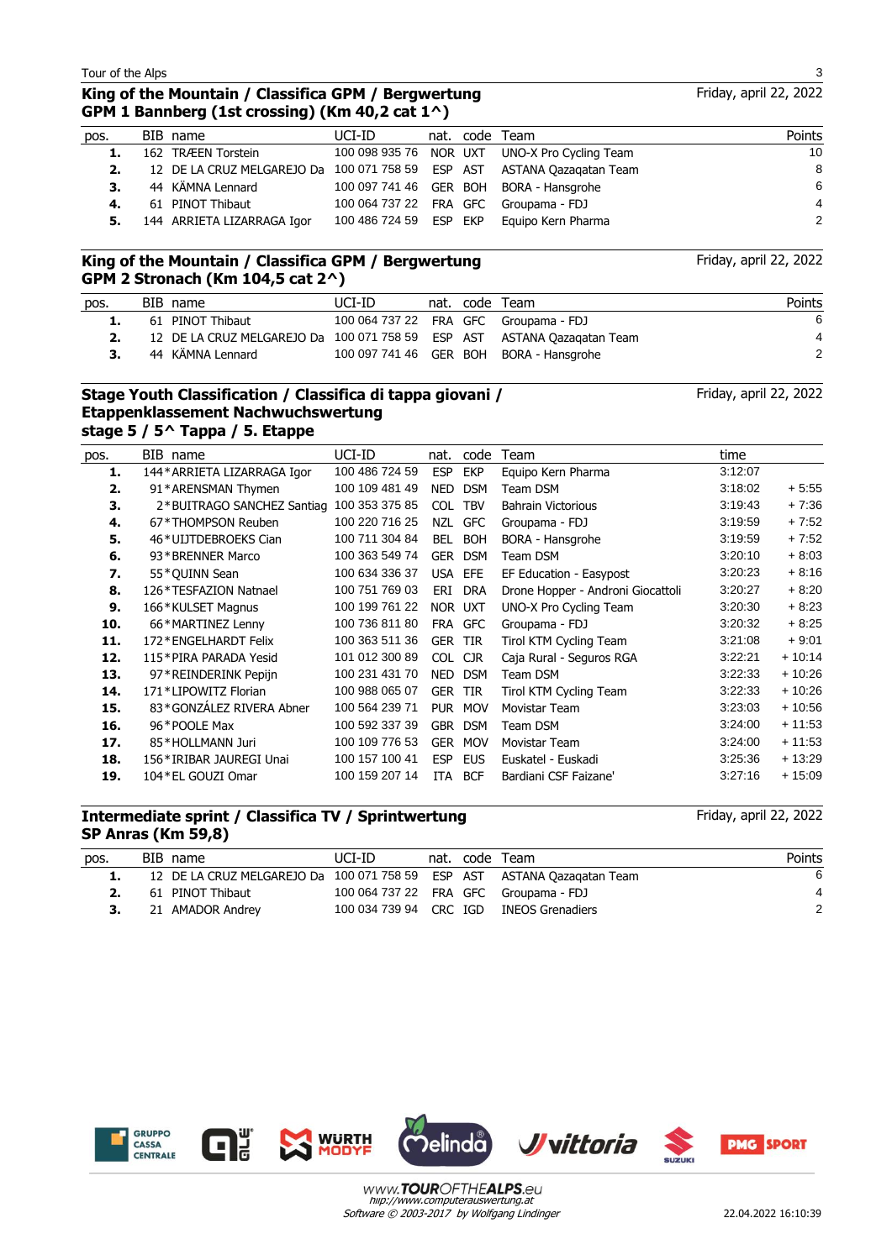# **King of the Mountain / Classifica GPM / Bergwertung GPM 1 Bannberg (1st crossing) (Km 40,2 cat 1^)**

| pos. | BIB name                                                                | UCI-ID                 |  | nat. code Team                                | Points |
|------|-------------------------------------------------------------------------|------------------------|--|-----------------------------------------------|--------|
|      | 162 TRÆEN Torstein                                                      |                        |  | 100 098 935 76 NOR UXT UNO-X Pro Cycling Team | 10     |
| 2.   | 12 DE LA CRUZ MELGAREJO Da 100 071 758 59 ESP AST ASTANA Oazagatan Team |                        |  |                                               | 8      |
| 3.   | 44 KÄMNA Lennard                                                        |                        |  | 100 097 741 46 GER BOH BORA - Hansgrohe       | 6      |
| 4.   | 61 PINOT Thibaut                                                        |                        |  | 100 064 737 22 FRA GFC Groupama - FDJ         | 4      |
|      | 5. 144 ARRIETA LIZARRAGA Igor                                           | 100 486 724 59 ESP EKP |  | Eguipo Kern Pharma                            | 2      |
|      |                                                                         |                        |  |                                               |        |

#### **King of the Mountain / Classifica GPM / Bergwertung GPM 2 Stronach (Km 104,5 cat 2^)**

| pos. | BIB name                                                                | UCI-ID |  | nat. code Team                          | Points |
|------|-------------------------------------------------------------------------|--------|--|-----------------------------------------|--------|
|      | 61 PINOT Thibaut                                                        |        |  | 100 064 737 22 FRA GFC Groupama - FDJ   | 6      |
|      | 12 DE LA CRUZ MELGAREJO Da 100 071 758 59 ESP AST ASTANA Oazagatan Team |        |  |                                         |        |
| 3.   | 44 KÄMNA Lennard                                                        |        |  | 100 097 741 46 GER BOH BORA - Hansgrohe | 2      |

#### **Stage Youth Classification / Classifica di tappa giovani / Etappenklassement Nachwuchswertung stage 5 / 5^ Tappa / 5. Etappe**

| pos. | BIB name                    | UCI-ID         | nat.       | code       | Team                              | time    |          |
|------|-----------------------------|----------------|------------|------------|-----------------------------------|---------|----------|
| 1.   | 144* ARRIETA LIZARRAGA Igor | 100 486 724 59 | <b>ESP</b> | <b>EKP</b> | Equipo Kern Pharma                | 3:12:07 |          |
| 2.   | 91*ARENSMAN Thymen          | 100 109 481 49 | <b>NED</b> | <b>DSM</b> | Team DSM                          | 3:18:02 | $+5:55$  |
| З.   | 2*BUITRAGO SANCHEZ Santiag  | 100 353 375 85 | <b>COL</b> | <b>TBV</b> | <b>Bahrain Victorious</b>         | 3:19:43 | $+7:36$  |
| 4.   | 67*THOMPSON Reuben          | 100 220 716 25 | <b>NZL</b> | <b>GFC</b> | Groupama - FDJ                    | 3:19:59 | $+7:52$  |
| 5.   | 46*UIJTDEBROEKS Cian        | 100 711 304 84 | <b>BEL</b> | <b>BOH</b> | BORA - Hansgrohe                  | 3:19:59 | $+7:52$  |
| 6.   | 93*BRENNER Marco            | 100 363 549 74 | <b>GER</b> | <b>DSM</b> | Team DSM                          | 3:20:10 | $+8:03$  |
| 7.   | 55*QUINN Sean               | 100 634 336 37 | <b>USA</b> | EFE        | EF Education - Easypost           | 3:20:23 | $+8:16$  |
| 8.   | 126*TESFAZION Natnael       | 100 751 769 03 | ERI        | <b>DRA</b> | Drone Hopper - Androni Giocattoli | 3:20:27 | $+8:20$  |
| 9.   | 166*KULSET Magnus           | 100 199 761 22 | NOR UXT    |            | UNO-X Pro Cycling Team            | 3:20:30 | $+8:23$  |
| 10.  | 66*MARTINEZ Lenny           | 100 736 811 80 | <b>FRA</b> | <b>GFC</b> | Groupama - FDJ                    | 3:20:32 | $+8:25$  |
| 11.  | 172*ENGELHARDT Felix        | 100 363 511 36 | <b>GER</b> | <b>TIR</b> | Tirol KTM Cycling Team            | 3:21:08 | $+9:01$  |
| 12.  | 115*PIRA PARADA Yesid       | 101 012 300 89 | <b>COL</b> | <b>CJR</b> | Caja Rural - Seguros RGA          | 3:22:21 | $+10:14$ |
| 13.  | 97*REINDERINK Pepijn        | 100 231 431 70 | <b>NED</b> | <b>DSM</b> | Team DSM                          | 3:22:33 | $+10:26$ |
| 14.  | 171*LIPOWITZ Florian        | 100 988 065 07 | <b>GER</b> | <b>TIR</b> | Tirol KTM Cycling Team            | 3:22:33 | $+10:26$ |
| 15.  | 83*GONZÁLEZ RIVERA Abner    | 100 564 239 71 | <b>PUR</b> | <b>MOV</b> | Movistar Team                     | 3:23:03 | $+10:56$ |
| 16.  | 96*POOLE Max                | 100 592 337 39 | <b>GBR</b> | <b>DSM</b> | Team DSM                          | 3:24:00 | $+11:53$ |
| 17.  | 85*HOLLMANN Juri            | 100 109 776 53 | <b>GER</b> | <b>MOV</b> | Movistar Team                     | 3:24:00 | $+11:53$ |
| 18.  | 156 * IRIBAR JAUREGI Unai   | 100 157 100 41 | <b>ESP</b> | <b>EUS</b> | Euskatel - Euskadi                | 3:25:36 | $+13:29$ |
| 19.  | 104 * EL GOUZI Omar         | 100 159 207 14 | <b>ITA</b> | <b>BCF</b> | Bardiani CSF Faizane'             | 3:27:16 | $+15:09$ |
|      |                             |                |            |            |                                   |         |          |

#### **Intermediate sprint / Classifica TV / Sprintwertung SP Anras (Km 59,8)**

| pos. | BIB name                                                                | UCI-ID |  | nat. code Team                          | Points |
|------|-------------------------------------------------------------------------|--------|--|-----------------------------------------|--------|
|      | 12 DE LA CRUZ MELGAREJO Da 100 071 758 59 ESP AST ASTANA Qazagatan Team |        |  |                                         | 6      |
|      | 61 PINOT Thibaut                                                        |        |  | 100 064 737 22 FRA GFC Groupama - FDJ   |        |
|      | 21 AMADOR Andrey                                                        |        |  | 100 034 739 94 CRC IGD INEOS Grenadiers | 2      |
|      |                                                                         |        |  |                                         |        |

Software © 2003-2017 by Wolfgang Lindinger hiip://www.computerauswertung.at

www.TOUROFTHEALPS.eu





Friday, april 22, 2022

Friday, april 22, 2022

Friday, april 22, 2022

Friday, april 22, 2022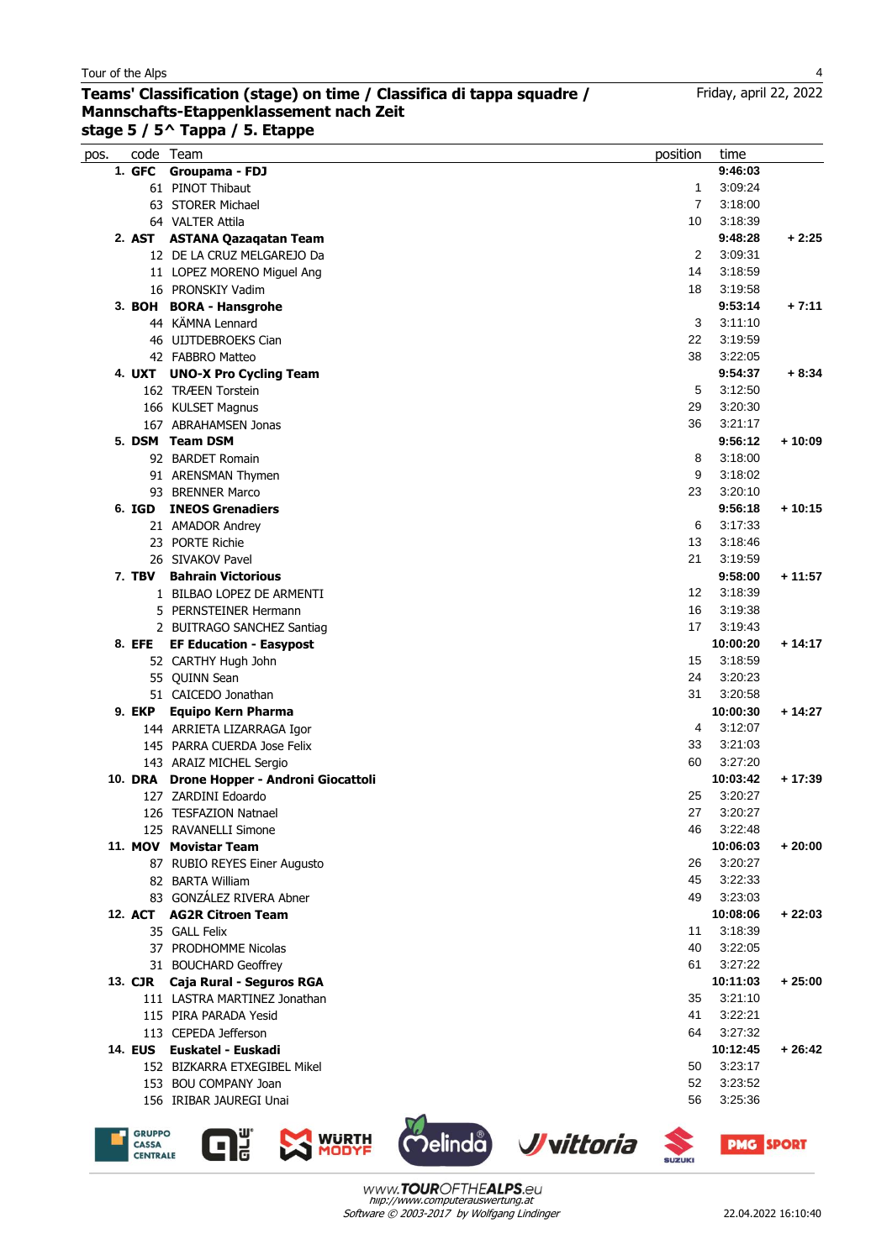#### **Teams' Classification (stage) on time / Classifica di tappa squadre / Mannschafts-Etappenklassement nach Zeit stage 5 / 5^ Tappa / 5. Etappe**

| pos. |        | code Team                                 | position | time     |          |
|------|--------|-------------------------------------------|----------|----------|----------|
|      |        | 1. GFC Groupama - FDJ                     |          | 9:46:03  |          |
|      |        | 61 PINOT Thibaut                          | 1        | 3:09:24  |          |
|      |        | 63 STORER Michael                         | 7        | 3:18:00  |          |
|      |        | 64 VALTER Attila                          | 10       | 3:18:39  |          |
|      |        | 2. AST ASTANA Qazaqatan Team              |          | 9:48:28  | $+2:25$  |
|      |        | 12 DE LA CRUZ MELGAREJO Da                | 2        | 3:09:31  |          |
|      |        | 11 LOPEZ MORENO Miguel Ang                | 14       | 3:18:59  |          |
|      |        | 16 PRONSKIY Vadim                         | 18       | 3:19:58  |          |
|      |        | 3. BOH BORA - Hansgrohe                   |          | 9:53:14  | $+7:11$  |
|      |        | 44 KÄMNA Lennard                          | 3        | 3:11:10  |          |
|      |        | 46 ULJTDEBROEKS Cian                      | 22       | 3:19:59  |          |
|      |        | 42 FABBRO Matteo                          | 38       | 3:22:05  |          |
|      |        | 4. UXT UNO-X Pro Cycling Team             |          | 9:54:37  | $+8.34$  |
|      |        | 162 TRÆEN Torstein                        | 5        | 3:12:50  |          |
|      |        | 166 KULSET Magnus                         | 29       | 3:20:30  |          |
|      |        | 167 ABRAHAMSEN Jonas                      | 36       | 3:21:17  |          |
|      |        | 5. DSM Team DSM                           |          | 9:56:12  | $+10:09$ |
|      |        | 92 BARDET Romain                          | 8        | 3:18:00  |          |
|      |        | 91 ARENSMAN Thymen                        | 9        | 3:18:02  |          |
|      |        | 93 BRENNER Marco                          | 23       | 3:20:10  |          |
|      | 6. IGD | <b>INEOS Grenadiers</b>                   |          | 9:56:18  | $+10:15$ |
|      |        | 21 AMADOR Andrey                          | 6        | 3:17:33  |          |
|      |        | 23 PORTE Richie                           | 13       | 3:18:46  |          |
|      |        | 26 SIVAKOV Pavel                          | 21       | 3:19:59  |          |
|      |        | <b>7. TBV Bahrain Victorious</b>          |          | 9:58:00  | $+11:57$ |
|      |        | 1 BILBAO LOPEZ DE ARMENTI                 | 12       | 3:18:39  |          |
|      |        | 5 PERNSTEINER Hermann                     | 16       | 3:19:38  |          |
|      |        | 2 BUITRAGO SANCHEZ Santiag                | 17       | 3:19:43  |          |
|      |        | 8. EFE EF Education - Easypost            |          | 10:00:20 | $+14:17$ |
|      |        | 52 CARTHY Hugh John                       | 15       | 3:18:59  |          |
|      |        | 55 QUINN Sean                             | 24       | 3:20:23  |          |
|      |        | 51 CAICEDO Jonathan                       | 31       | 3:20:58  |          |
|      | 9. EKP | <b>Equipo Kern Pharma</b>                 |          | 10:00:30 | $+14:27$ |
|      |        | 144 ARRIETA LIZARRAGA Igor                | 4        | 3:12:07  |          |
|      |        | 145 PARRA CUERDA Jose Felix               | 33       | 3:21:03  |          |
|      |        | 143 ARAIZ MICHEL Sergio                   | 60       | 3:27:20  |          |
|      |        | 10. DRA Drone Hopper - Androni Giocattoli |          | 10:03:42 | $+17:39$ |
|      |        | 127 ZARDINI Edoardo                       | 25       | 3:20:27  |          |
|      |        | 126 TESFAZION Natnael                     | 27       | 3:20:27  |          |
|      |        | 125 RAVANELLI Simone                      | 46       | 3:22:48  |          |
|      |        | 11. MOV Movistar Team                     |          | 10:06:03 | $+20:00$ |
|      |        | 87 RUBIO REYES Einer Augusto              | 26       | 3:20:27  |          |
|      |        | 82 BARTA William                          | 45       | 3:22:33  |          |
|      |        | 83 GONZÁLEZ RIVERA Abner                  | 49       | 3:23:03  |          |
|      |        | 12. ACT AG2R Citroen Team                 |          | 10:08:06 | $+22:03$ |
|      |        | 35 GALL Felix                             | 11       | 3:18:39  |          |
|      |        | 37 PRODHOMME Nicolas                      | 40       | 3:22:05  |          |
|      |        | 31 BOUCHARD Geoffrey                      | 61       | 3:27:22  |          |
|      |        | 13. CJR Caja Rural - Seguros RGA          |          | 10:11:03 | + 25:00  |
|      |        | 111 LASTRA MARTINEZ Jonathan              | 35       | 3:21:10  |          |
|      |        | 115 PIRA PARADA Yesid                     | 41       | 3:22:21  |          |
|      |        | 113 CEPEDA Jefferson                      | 64       | 3:27:32  |          |
|      |        | 14. EUS Euskatel - Euskadi                |          | 10:12:45 | $+26:42$ |
|      |        | 152 BIZKARRA ETXEGIBEL Mikel              | 50       | 3:23:17  |          |
|      |        | 153 BOU COMPANY Joan                      | 52       | 3:23:52  |          |
|      |        | 156 IRIBAR JAUREGI Unai                   | 56       | 3:25:36  |          |
|      |        |                                           |          |          |          |





 $\mathbf{G}^{\text{\tiny U}}_{\text{\tiny G}}$ 





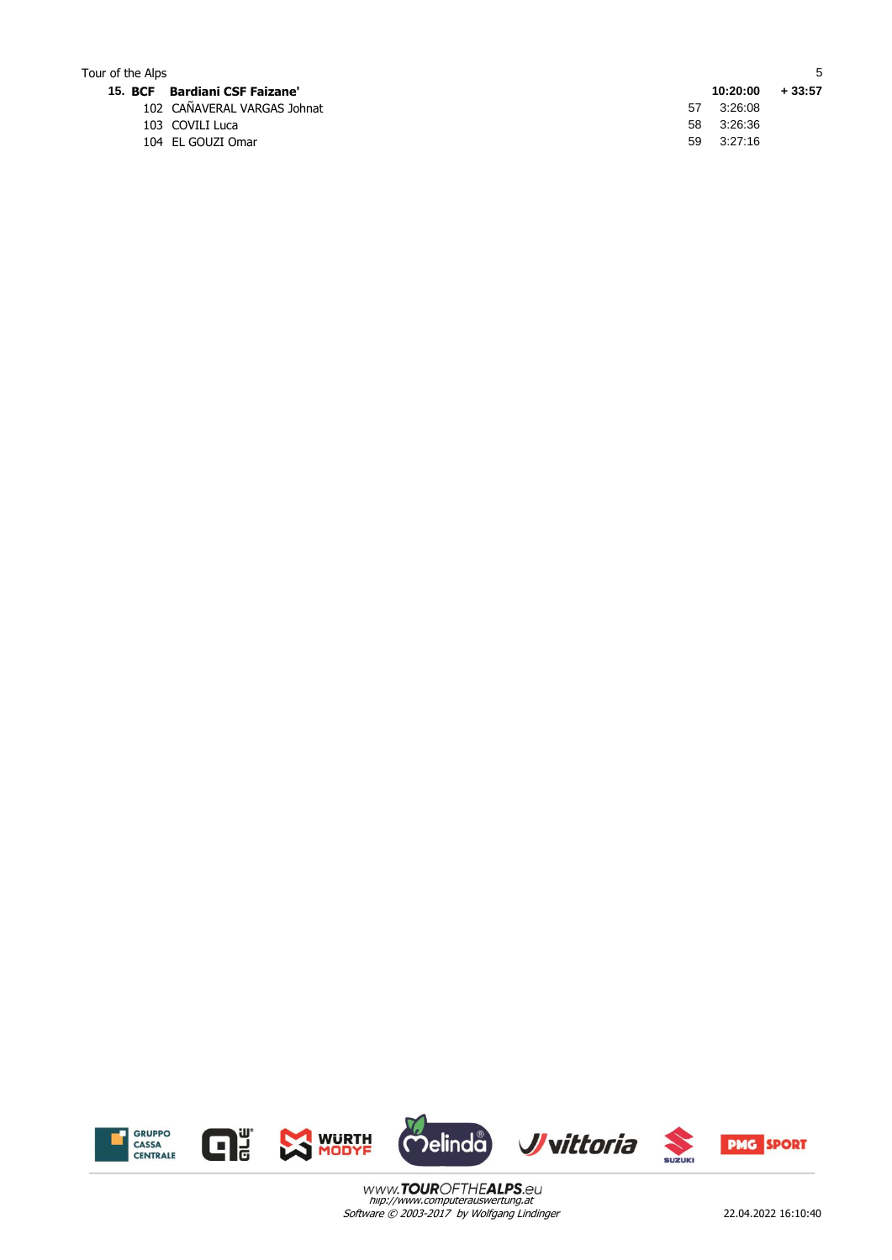| Tour of the Alps |                               |    |          |          |
|------------------|-------------------------------|----|----------|----------|
|                  | 15. BCF Bardiani CSF Faizane' |    | 10:20:00 | $+33:57$ |
|                  | 102 CAÑAVERAL VARGAS Johnat   | 57 | 3:26:08  |          |
|                  | 103 COVILI Luca               | 58 | 3:26:36  |          |
|                  | 104 EL GOUZI Omar             | 59 | 3:27:16  |          |



Software © 2003-2017 by Wolfgang Lindinger hiip://www.computerauswertung.at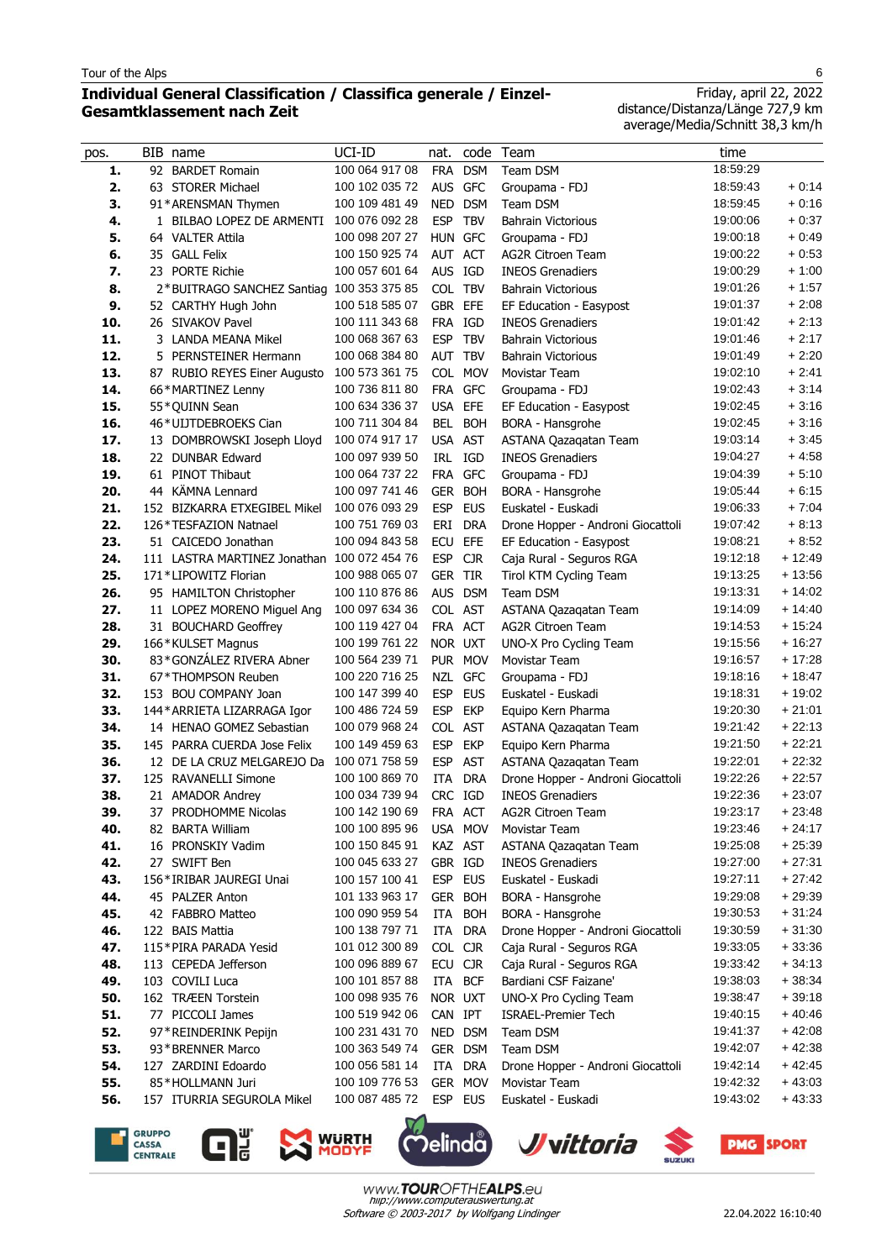$\overline{a}$ 

# **Individual General Classification / Classifica generale / Einzel-Gesamtklassement nach Zeit**

Friday, april 22, 2022 distance/Distanza/Länge 727,9 km average/Media/Schnitt 38,3 km/h

| pos.       | BIB name                                           | UCI-ID                           | nat.                  | code       | Team                                              | time                 |                      |
|------------|----------------------------------------------------|----------------------------------|-----------------------|------------|---------------------------------------------------|----------------------|----------------------|
| 1.         | 92 BARDET Romain                                   | 100 064 917 08                   | <b>FRA</b>            | <b>DSM</b> | Team DSM                                          | 18:59:29             |                      |
| 2.         | 63 STORER Michael                                  | 100 102 035 72                   | AUS GFC               |            | Groupama - FDJ                                    | 18:59:43             | $+0:14$              |
| 3.         | 91*ARENSMAN Thymen                                 | 100 109 481 49                   | NED                   | <b>DSM</b> | Team DSM                                          | 18:59:45             | $+0:16$              |
| 4.         | 1 BILBAO LOPEZ DE ARMENTI                          | 100 076 092 28                   | <b>ESP</b>            | <b>TBV</b> | <b>Bahrain Victorious</b>                         | 19:00:06             | $+0:37$              |
| 5.         | 64 VALTER Attila                                   | 100 098 207 27                   | HUN GFC               |            | Groupama - FDJ                                    | 19:00:18             | $+0.49$              |
| 6.         | 35 GALL Felix                                      | 100 150 925 74                   | AUT ACT               |            | <b>AG2R Citroen Team</b>                          | 19:00:22             | $+0.53$              |
| 7.         | 23 PORTE Richie                                    | 100 057 601 64                   | AUS IGD               |            | <b>INEOS Grenadiers</b>                           | 19:00:29             | $+1:00$              |
| 8.         | 2*BUITRAGO SANCHEZ Santiag 100 353 375 85          |                                  | COL TBV               |            | <b>Bahrain Victorious</b>                         | 19:01:26             | $+1:57$              |
| 9.         | 52 CARTHY Hugh John                                | 100 518 585 07                   | GBR EFE               |            | EF Education - Easypost                           | 19:01:37             | $+2:08$              |
| 10.        | 26 SIVAKOV Pavel                                   | 100 111 343 68                   | FRA IGD               |            | <b>INEOS Grenadiers</b>                           | 19:01:42             | $+2:13$              |
| 11.        | 3 LANDA MEANA Mikel                                | 100 068 367 63                   | <b>ESP</b>            | <b>TBV</b> | <b>Bahrain Victorious</b>                         | 19:01:46             | $+2:17$              |
| 12.        | 5 PERNSTEINER Hermann                              | 100 068 384 80                   | AUT TBV               |            | <b>Bahrain Victorious</b>                         | 19:01:49             | $+2:20$              |
| 13.        | 87 RUBIO REYES Einer Augusto                       | 100 573 361 75                   |                       | COL MOV    | Movistar Team                                     | 19:02:10             | $+2:41$              |
| 14.        | 66*MARTINEZ Lenny                                  | 100 736 811 80                   | FRA                   | <b>GFC</b> | Groupama - FDJ                                    | 19:02:43             | $+3:14$              |
| 15.        | 55*QUINN Sean                                      | 100 634 336 37                   | USA                   | EFE        | EF Education - Easypost                           | 19:02:45             | $+3:16$              |
| 16.        | 46*UIJTDEBROEKS Cian                               | 100 711 304 84                   | BEL                   | <b>BOH</b> | BORA - Hansgrohe                                  | 19:02:45             | $+3:16$              |
| 17.        | 13 DOMBROWSKI Joseph Lloyd                         | 100 074 917 17                   | USA AST               |            | ASTANA Qazaqatan Team                             | 19:03:14             | $+3:45$              |
| 18.        | 22 DUNBAR Edward                                   | 100 097 939 50                   | IRL                   | IGD        | <b>INEOS Grenadiers</b>                           | 19:04:27             | $+4.58$              |
| 19.        | 61 PINOT Thibaut                                   | 100 064 737 22                   | FRA                   | <b>GFC</b> | Groupama - FDJ                                    | 19:04:39             | $+5:10$              |
| 20.        | 44 KÄMNA Lennard                                   | 100 097 741 46                   | <b>GER</b>            | <b>BOH</b> | BORA - Hansgrohe                                  | 19:05:44             | $+6:15$              |
| 21.        | 152 BIZKARRA ETXEGIBEL Mikel                       | 100 076 093 29                   | <b>ESP</b>            | <b>EUS</b> | Euskatel - Euskadi                                | 19:06:33             | $+7:04$              |
| 22.        | 126*TESFAZION Natnael                              | 100 751 769 03                   | ERI                   | <b>DRA</b> | Drone Hopper - Androni Giocattoli                 | 19:07:42             | $+8:13$              |
| 23.        | 51 CAICEDO Jonathan                                | 100 094 843 58                   | ECU                   | EFE        | EF Education - Easypost                           | 19:08:21             | $+8:52$              |
| 24.        | 111 LASTRA MARTINEZ Jonathan 100 072 454 76        |                                  | <b>ESP</b>            | <b>CJR</b> | Caja Rural - Seguros RGA                          | 19:12:18             | $+12:49$             |
| 25.        | 171*LIPOWITZ Florian                               | 100 988 065 07<br>100 110 876 86 | <b>GER TIR</b>        | <b>DSM</b> | Tirol KTM Cycling Team                            | 19:13:25<br>19:13:31 | $+13:56$<br>$+14:02$ |
| 26.<br>27. | 95 HAMILTON Christopher                            | 100 097 634 36                   | <b>AUS</b><br>COL AST |            | Team DSM                                          | 19:14:09             | $+14:40$             |
| 28.        | 11 LOPEZ MORENO Miguel Ang<br>31 BOUCHARD Geoffrey | 100 119 427 04                   | FRA ACT               |            | ASTANA Qazaqatan Team<br><b>AG2R Citroen Team</b> | 19:14:53             | $+15.24$             |
| 29.        | 166*KULSET Magnus                                  | 100 199 761 22                   | NOR UXT               |            | UNO-X Pro Cycling Team                            | 19:15:56             | $+16:27$             |
| 30.        | 83*GONZÁLEZ RIVERA Abner                           | 100 564 239 71                   |                       | PUR MOV    | Movistar Team                                     | 19:16:57             | $+17:28$             |
| 31.        | 67*THOMPSON Reuben                                 | 100 220 716 25                   | NZL                   | <b>GFC</b> | Groupama - FDJ                                    | 19:18:16             | $+18:47$             |
| 32.        | 153 BOU COMPANY Joan                               | 100 147 399 40                   | <b>ESP</b>            | <b>EUS</b> | Euskatel - Euskadi                                | 19:18:31             | $+19:02$             |
| 33.        | 144* ARRIETA LIZARRAGA Igor                        | 100 486 724 59                   | <b>ESP</b>            | <b>EKP</b> | Equipo Kern Pharma                                | 19:20:30             | $+21:01$             |
| 34.        | 14 HENAO GOMEZ Sebastian                           | 100 079 968 24                   | <b>COL</b>            | <b>AST</b> | ASTANA Qazagatan Team                             | 19:21:42             | $+22:13$             |
| 35.        | 145 PARRA CUERDA Jose Felix                        | 100 149 459 63                   | <b>ESP</b>            | <b>EKP</b> | Equipo Kern Pharma                                | 19:21:50             | $+22:21$             |
| 36.        | 12 DE LA CRUZ MELGAREJO Da                         | 100 071 758 59                   | <b>ESP</b>            | <b>AST</b> | ASTANA Qazaqatan Team                             | 19:22:01             | $+22:32$             |
| 37.        | 125 RAVANELLI Simone                               | 100 100 869 70                   | ITA                   | <b>DRA</b> | Drone Hopper - Androni Giocattoli                 | 19:22:26             | $+22:57$             |
| 38.        | 21 AMADOR Andrey                                   | 100 034 739 94                   | CRC IGD               |            | <b>INEOS Grenadiers</b>                           | 19:22:36             | $+23:07$             |
| 39.        | 37 PRODHOMME Nicolas                               | 100 142 190 69                   | FRA ACT               |            | AG2R Citroen Team                                 | 19:23:17             | $+23:48$             |
| 40.        | 82 BARTA William                                   | 100 100 895 96                   |                       | USA MOV    | Movistar Team                                     | 19:23:46             | $+24:17$             |
| 41.        | 16 PRONSKIY Vadim                                  | 100 150 845 91                   | KAZ AST               |            | ASTANA Qazagatan Team                             | 19:25:08             | $+25:39$             |
| 42.        | 27 SWIFT Ben                                       | 100 045 633 27                   | GBR IGD               |            | <b>INEOS Grenadiers</b>                           | 19:27:00             | $+27:31$             |
| 43.        | 156*IRIBAR JAUREGI Unai                            | 100 157 100 41                   | ESP                   | <b>EUS</b> | Euskatel - Euskadi                                | 19:27:11             | $+27:42$             |
| 44.        | 45 PALZER Anton                                    | 101 133 963 17                   |                       | GER BOH    | <b>BORA - Hansgrohe</b>                           | 19:29:08             | $+29:39$             |
| 45.        | 42 FABBRO Matteo                                   | 100 090 959 54                   | ITA                   | <b>BOH</b> | BORA - Hansgrohe                                  | 19:30:53             | $+31:24$             |
| 46.        | 122 BAIS Mattia                                    | 100 138 797 71                   | ITA                   | <b>DRA</b> | Drone Hopper - Androni Giocattoli                 | 19:30:59             | $+31:30$             |
| 47.        | 115*PIRA PARADA Yesid                              | 101 012 300 89                   | COL CJR               |            | Caja Rural - Seguros RGA                          | 19:33:05             | $+33.36$             |
| 48.        | 113 CEPEDA Jefferson                               | 100 096 889 67                   | ECU CJR               |            | Caja Rural - Seguros RGA                          | 19:33:42             | $+34:13$             |
| 49.        | 103 COVILI Luca                                    | 100 101 857 88                   | ITA                   | <b>BCF</b> | Bardiani CSF Faizane'                             | 19:38:03             | $+38.34$             |
| 50.        | 162 TRÆEN Torstein                                 | 100 098 935 76                   | NOR UXT               |            | UNO-X Pro Cycling Team                            | 19:38:47             | $+39.18$             |
| 51.        | 77 PICCOLI James                                   | 100 519 942 06                   | CAN IPT               |            | <b>ISRAEL-Premier Tech</b>                        | 19:40:15             | $+40:46$             |
| 52.        | 97*REINDERINK Pepijn                               | 100 231 431 70                   |                       | NED DSM    | Team DSM                                          | 19:41:37             | $+42:08$             |
| 53.        | 93*BRENNER Marco                                   | 100 363 549 74                   |                       | GER DSM    | Team DSM                                          | 19:42:07             | $+42:38$             |
| 54.        | 127 ZARDINI Edoardo                                | 100 056 581 14                   |                       | ITA DRA    | Drone Hopper - Androni Giocattoli                 | 19:42:14             | $+42:45$             |
| 55.        | 85*HOLLMANN Juri                                   | 100 109 776 53                   |                       | GER MOV    | Movistar Team                                     | 19:42:32             | $+43:03$             |
| 56.        | 157 ITURRIA SEGUROLA Mikel                         | 100 087 485 72                   |                       | ESP EUS    | Euskatel - Euskadi                                | 19:43:02             | + 43:33              |









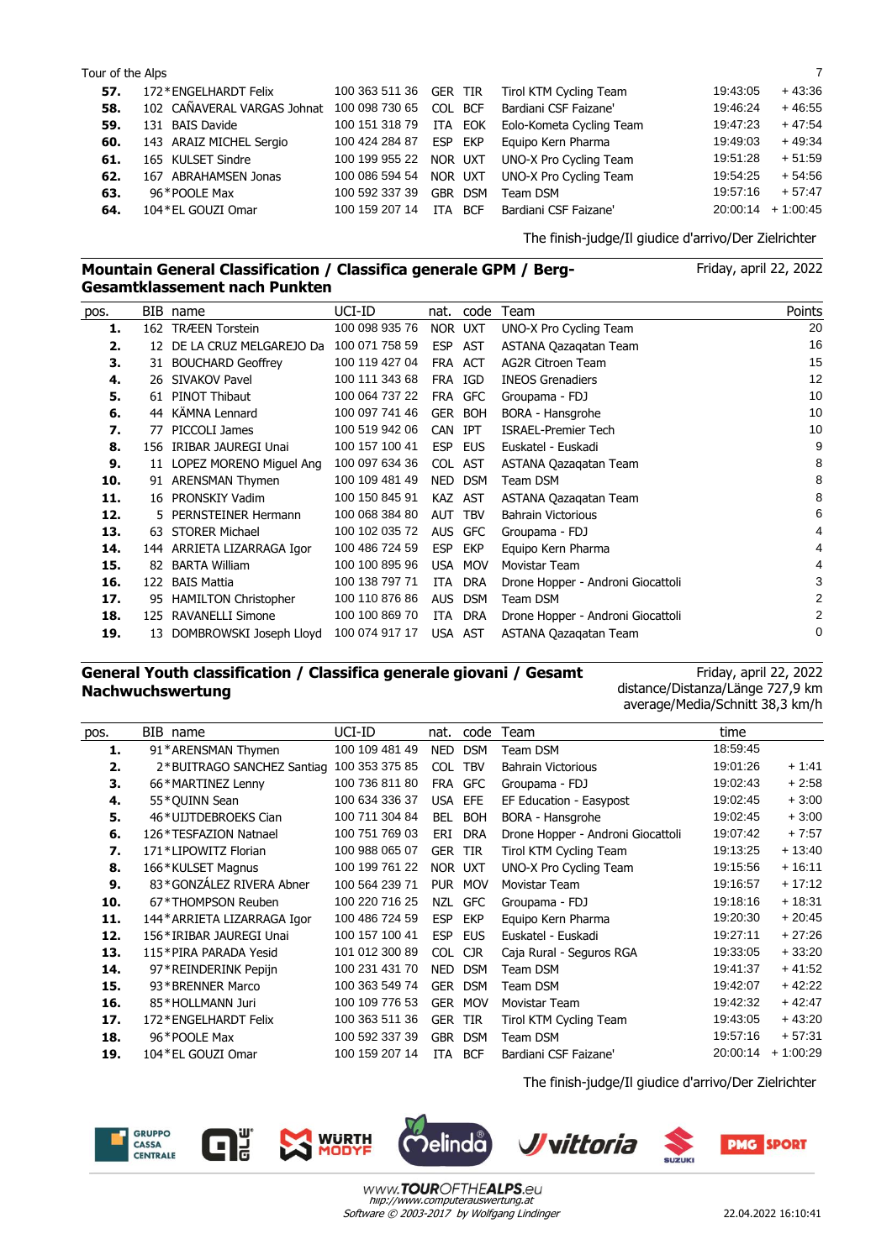#### Tour of the Alps 7 and 2008 and 2008 and 2008 and 2008 and 2008 and 2008 and 2008 and 2008 and 2008 and 2008 and 2008 and 2008 and 2008 and 2008 and 2008 and 2008 and 2008 and 2008 and 2008 and 2008 and 2008 and 2008 and 2

| 57. | 172*ENGELHARDT Felix        |                |         | 100 363 511 36 GER TIR Tirol KTM Cycling Team | 19:43:05 | $+43:36$             |
|-----|-----------------------------|----------------|---------|-----------------------------------------------|----------|----------------------|
| 58. | 102 CAÑAVERAL VARGAS Johnat | 100 098 730 65 | COL BCF | Bardiani CSF Faizane'                         | 19:46:24 | $+46:55$             |
| 59. | 131 BAIS Davide             | 100 151 318 79 | ITA EOK | Eolo-Kometa Cycling Team                      | 19:47:23 | $+47:54$             |
| 60. | 143 ARAIZ MICHEL Sergio     | 100 424 284 87 | ESP EKP | Equipo Kern Pharma                            | 19:49:03 | $+49:34$             |
| 61. | 165 KULSET Sindre           | 100 199 955 22 | NOR UXT | UNO-X Pro Cycling Team                        | 19:51:28 | $+51:59$             |
| 62. | 167 ABRAHAMSEN Jonas        | 100 086 594 54 | NOR UXT | UNO-X Pro Cycling Team                        | 19:54:25 | $+54:56$             |
| 63. | 96*POOLE Max                | 100 592 337 39 | GBR DSM | Team DSM                                      | 19:57:16 | $+57:47$             |
| 64. | 104 * EL GOUZI Omar         | 100 159 207 14 | ITA BCF | Bardiani CSF Faizane'                         |          | $20:00:14 + 1:00:45$ |
|     |                             |                |         |                                               |          |                      |

code

**1.** 162 TRÆEN Torstein 100 098 935 76 NOR UXT UNO-X Pro Cycling Team 20

**13.** 63 STORER Michael 100 102 035 72 AUS GFC Groupama - FDJ 44 **14.** 144 ARRIETA LIZARRAGA Igor 100 486 724 59 ESP EKP Equipo Kern Pharma 4 **15.** 82 BARTA William 100 100 895 96 USA MOV Movistar Team 4 4 **16.** 122 BAIS Mattia 100 138 797 71 ITA DRA Drone Hopper - Androni Giocattoli 3 **17.** 95 HAMILTON Christopher 100 110 876 86 AUS DSM Team DSM 2 **18.** 125 RAVANELLI Simone 100 100 869 70 ITA DRA Drone Hopper - Androni Giocattoli 2 **19.** 13 DOMBROWSKI Joseph Lloyd 100 074 917 17 USA AST ASTANA Qazaqatan Team 0

pos. BIB name nat. Team Points

The finish-judge/Il giudice d'arrivo/Der Zielrichter

Friday, april 22, 2022

#### **Mountain General Classification / Classifica generale GPM / Berg-Gesamtklassement nach Punkten**

UCI-ID

**2.** 12 DE LA CRUZ MELGAREJO Da 100 071 758 59 ESP AST ASTANA Qazaqatan Team 16 **3.** 31 BOUCHARD Geoffrey 100 119 427 04 FRA ACT AG2R Citroen Team 15 **4.** 26 SIVAKOV Pavel 100 111 343 68 FRA IGD INEOS Grenadiers 12 **5.** 61 PINOT Thibaut 100 064 737 22 FRA GFC Groupama - FDJ 10 **6.** 44 KÄMNA Lennard 100 097 741 46 GER BOH BORA - Hansgrohe 10 **7.** 77 PICCOLI James 100 519 942 06 CAN IPT ISRAEL-Premier Tech 10 **8.** 156 IRIBAR JAUREGI Unai 100 157 100 41 ESP EUS Euskatel - Euskadi 9 **9.** 11 LOPEZ MORENO Miguel Ang 100 097 634 36 COL AST ASTANA Qazaqatan Team 8 **10.** 91 ARENSMAN Thymen 100 109 481 49 NED DSM Team DSM 8 **11.** 16 PRONSKIY Vadim 100 150 845 91 KAZ AST ASTANA Qazaqatan Team 8 **12.** 5 PERNSTEINER Hermann 100 068 384 80 AUT TBV Bahrain Victorious 6

# **General Youth classification / Classifica generale giovani / Gesamt Nachwuchswertung**

Friday, april 22, 2022 distance/Distanza/Länge 727,9 km average/Media/Schnitt 38,3 km/h

| pos. | BIB name                    | UCI-ID         | nat.       | code       | Team                              | time     |            |
|------|-----------------------------|----------------|------------|------------|-----------------------------------|----------|------------|
| 1.   | 91*ARENSMAN Thymen          | 100 109 481 49 | <b>NED</b> | <b>DSM</b> | Team DSM                          | 18:59:45 |            |
| 2.   | 2*BUITRAGO SANCHEZ Santiag  | 100 353 375 85 | <b>COL</b> | <b>TBV</b> | <b>Bahrain Victorious</b>         | 19:01:26 | $+1:41$    |
| З.   | 66*MARTINEZ Lenny           | 100 736 811 80 | <b>FRA</b> | <b>GFC</b> | Groupama - FDJ                    | 19:02:43 | $+2:58$    |
| 4.   | 55*QUINN Sean               | 100 634 336 37 | <b>USA</b> | EFE        | EF Education - Easypost           | 19:02:45 | $+3:00$    |
| 5.   | 46*UIJTDEBROEKS Cian        | 100 711 304 84 | <b>BEL</b> | <b>BOH</b> | BORA - Hansgrohe                  | 19:02:45 | $+3:00$    |
| 6.   | 126 * TESFAZION Natnael     | 100 751 769 03 | ERI        | <b>DRA</b> | Drone Hopper - Androni Giocattoli | 19:07:42 | $+7:57$    |
| 7.   | 171*LIPOWITZ Florian        | 100 988 065 07 | <b>GER</b> | <b>TIR</b> | Tirol KTM Cycling Team            | 19:13:25 | $+13:40$   |
| 8.   | 166*KULSET Magnus           | 100 199 761 22 | NOR UXT    |            | UNO-X Pro Cycling Team            | 19:15:56 | $+16:11$   |
| 9.   | 83*GONZÁLEZ RIVERA Abner    | 100 564 239 71 | <b>PUR</b> | <b>MOV</b> | Movistar Team                     | 19:16:57 | $+17:12$   |
| 10.  | 67*THOMPSON Reuben          | 100 220 716 25 | <b>NZL</b> | <b>GFC</b> | Groupama - FDJ                    | 19:18:16 | $+18:31$   |
| 11.  | 144* ARRIETA LIZARRAGA Igor | 100 486 724 59 | <b>ESP</b> | <b>EKP</b> | Equipo Kern Pharma                | 19:20:30 | $+20:45$   |
| 12.  | 156 * IRIBAR JAUREGI Unai   | 100 157 100 41 | <b>ESP</b> | <b>EUS</b> | Euskatel - Euskadi                | 19:27:11 | $+27:26$   |
| 13.  | 115*PIRA PARADA Yesid       | 101 012 300 89 | <b>COL</b> | <b>CJR</b> | Caja Rural - Seguros RGA          | 19:33:05 | $+33:20$   |
| 14.  | 97*REINDERINK Pepijn        | 100 231 431 70 | <b>NED</b> | <b>DSM</b> | Team DSM                          | 19:41:37 | $+41:52$   |
| 15.  | 93*BRENNER Marco            | 100 363 549 74 | <b>GER</b> | <b>DSM</b> | Team DSM                          | 19:42:07 | $+42:22$   |
| 16.  | 85*HOLLMANN Juri            | 100 109 776 53 | <b>GER</b> | <b>MOV</b> | Movistar Team                     | 19:42:32 | $+42:47$   |
| 17.  | 172*ENGELHARDT Felix        | 100 363 511 36 | <b>GER</b> | <b>TIR</b> | Tirol KTM Cycling Team            | 19:43:05 | $+43:20$   |
| 18.  | 96*POOLE Max                | 100 592 337 39 | <b>GBR</b> | <b>DSM</b> | Team DSM                          | 19:57:16 | $+57:31$   |
| 19.  | 104 * EL GOUZI Omar         | 100 159 207 14 | <b>ITA</b> | <b>BCF</b> | Bardiani CSF Faizane'             | 20:00:14 | $+1:00:29$ |
|      |                             |                |            |            |                                   |          |            |

The finish-judge/Il giudice d'arrivo/Der Zielrichter

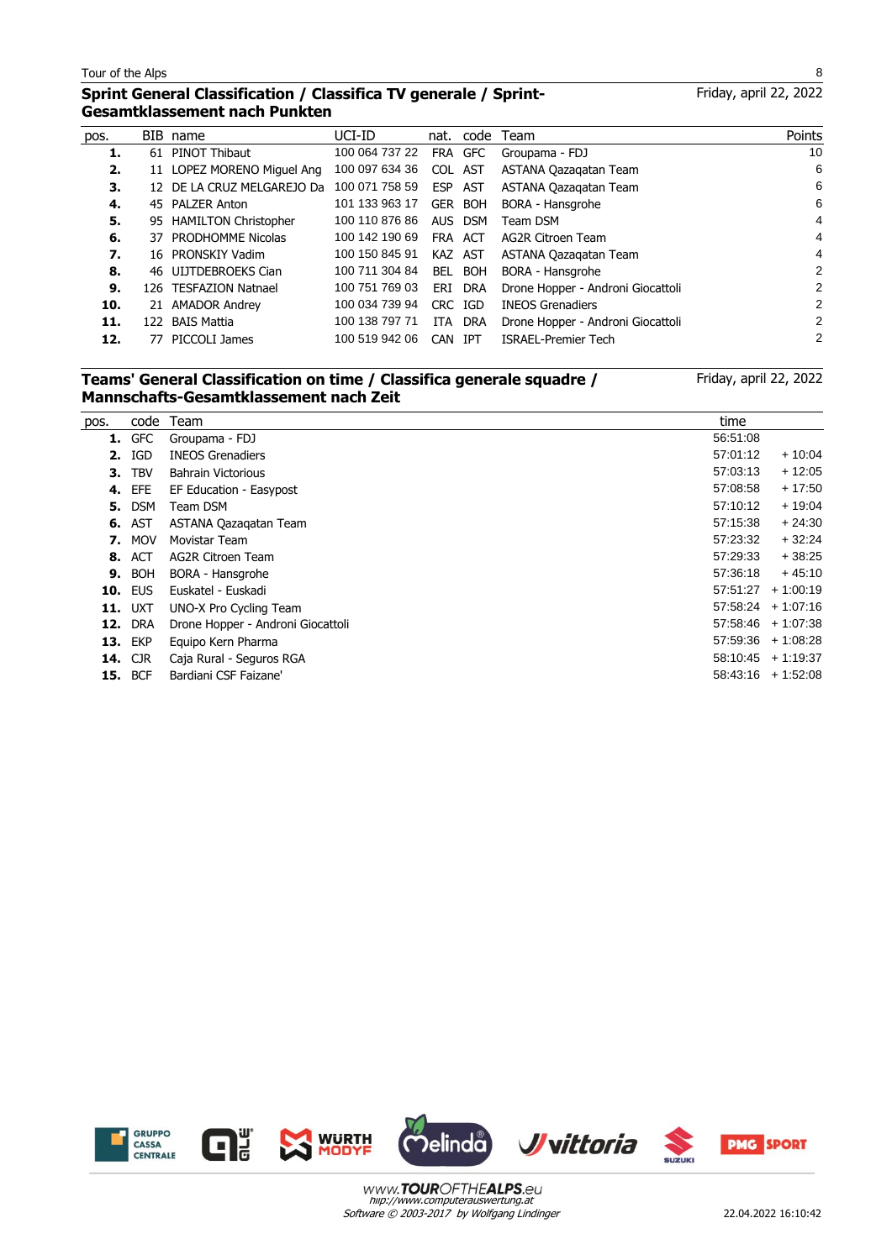l,

# **Sprint General Classification / Classifica TV generale / Sprint-Gesamtklassement nach Punkten**

| 10<br>PINOT Thibaut<br>100 064 737 22<br>FRA GFC<br>Groupama - FDJ<br>1.<br>61<br>100 097 634 36<br>6<br>11 LOPEZ MORENO Miguel Ang<br>2.<br>COL AST<br>ASTANA Qazagatan Team<br>100 071 758 59<br>6<br>12 DE LA CRUZ MELGAREJO Da<br>ASTANA Qazagatan Team<br>ESP<br>AST<br>3.<br>6<br>101 133 963 17<br>45 PALZER Anton<br>GER BOH<br>BORA - Hansgrohe<br>4.<br>4<br>100 110 876 86<br>5.<br>95 HAMILTON Christopher<br>AUS DSM<br>Team DSM<br>4<br>100 142 190 69<br>37 PRODHOMME Nicolas<br>6.<br>ACT<br>AG2R Citroen Team<br>FRA<br>4<br>100 150 845 91<br>7.<br>16 PRONSKIY Vadim<br>KAZ AST<br>ASTANA Qazagatan Team<br>2<br>8.<br>46 UIJTDEBROEKS Cian<br>BEL BOH<br>BORA - Hansgrohe<br>100 711 304 84<br>2<br>126 TESFAZION Natnael<br>100 751 769 03<br>Drone Hopper - Androni Giocattoli<br>9.<br><b>DRA</b><br>ERI<br>2<br>21 AMADOR Andrey<br>100 034 739 94<br>CRC IGD<br><b>INEOS Grenadiers</b><br>10.<br>BAIS Mattia<br>2<br>11.<br>100 138 797 71<br>ITA DRA<br>Drone Hopper - Androni Giocattoli<br>122<br>2<br>100 519 942 06<br>12.<br>77 PICCOLI James<br><b>ISRAEL-Premier Tech</b><br>CAN<br>IPT | pos. | BIB name | UCI-ID |  | nat. code Team | Points |
|---------------------------------------------------------------------------------------------------------------------------------------------------------------------------------------------------------------------------------------------------------------------------------------------------------------------------------------------------------------------------------------------------------------------------------------------------------------------------------------------------------------------------------------------------------------------------------------------------------------------------------------------------------------------------------------------------------------------------------------------------------------------------------------------------------------------------------------------------------------------------------------------------------------------------------------------------------------------------------------------------------------------------------------------------------------------------------------------------------------------------|------|----------|--------|--|----------------|--------|
|                                                                                                                                                                                                                                                                                                                                                                                                                                                                                                                                                                                                                                                                                                                                                                                                                                                                                                                                                                                                                                                                                                                           |      |          |        |  |                |        |
|                                                                                                                                                                                                                                                                                                                                                                                                                                                                                                                                                                                                                                                                                                                                                                                                                                                                                                                                                                                                                                                                                                                           |      |          |        |  |                |        |
|                                                                                                                                                                                                                                                                                                                                                                                                                                                                                                                                                                                                                                                                                                                                                                                                                                                                                                                                                                                                                                                                                                                           |      |          |        |  |                |        |
|                                                                                                                                                                                                                                                                                                                                                                                                                                                                                                                                                                                                                                                                                                                                                                                                                                                                                                                                                                                                                                                                                                                           |      |          |        |  |                |        |
|                                                                                                                                                                                                                                                                                                                                                                                                                                                                                                                                                                                                                                                                                                                                                                                                                                                                                                                                                                                                                                                                                                                           |      |          |        |  |                |        |
|                                                                                                                                                                                                                                                                                                                                                                                                                                                                                                                                                                                                                                                                                                                                                                                                                                                                                                                                                                                                                                                                                                                           |      |          |        |  |                |        |
|                                                                                                                                                                                                                                                                                                                                                                                                                                                                                                                                                                                                                                                                                                                                                                                                                                                                                                                                                                                                                                                                                                                           |      |          |        |  |                |        |
|                                                                                                                                                                                                                                                                                                                                                                                                                                                                                                                                                                                                                                                                                                                                                                                                                                                                                                                                                                                                                                                                                                                           |      |          |        |  |                |        |
|                                                                                                                                                                                                                                                                                                                                                                                                                                                                                                                                                                                                                                                                                                                                                                                                                                                                                                                                                                                                                                                                                                                           |      |          |        |  |                |        |
|                                                                                                                                                                                                                                                                                                                                                                                                                                                                                                                                                                                                                                                                                                                                                                                                                                                                                                                                                                                                                                                                                                                           |      |          |        |  |                |        |
|                                                                                                                                                                                                                                                                                                                                                                                                                                                                                                                                                                                                                                                                                                                                                                                                                                                                                                                                                                                                                                                                                                                           |      |          |        |  |                |        |
|                                                                                                                                                                                                                                                                                                                                                                                                                                                                                                                                                                                                                                                                                                                                                                                                                                                                                                                                                                                                                                                                                                                           |      |          |        |  |                |        |

#### **Teams' General Classification on time / Classifica generale squadre / Mannschafts-Gesamtklassement nach Zeit**

Friday, april 22, 2022

| pos. | code           | Team                              | time     |                      |
|------|----------------|-----------------------------------|----------|----------------------|
| 1.   | <b>GFC</b>     | Groupama - FDJ                    | 56.51:08 |                      |
| 2.   | IGD            | <b>INEOS Grenadiers</b>           | 57:01:12 | $+10:04$             |
| З.   | <b>TBV</b>     | <b>Bahrain Victorious</b>         | 57:03:13 | $+12:05$             |
| 4.   | EFE            | EF Education - Easypost           | 57:08:58 | $+17:50$             |
| 5.   | <b>DSM</b>     | Team DSM                          | 57:10:12 | $+19:04$             |
| 6.   | AST            | ASTANA Qazagatan Team             | 57:15:38 | $+24:30$             |
| 7.   | <b>MOV</b>     | Movistar Team                     | 57:23:32 | $+32:24$             |
| 8.   | <b>ACT</b>     | AG2R Citroen Team                 | 57:29:33 | $+38:25$             |
| 9.   | BOH            | BORA - Hansgrohe                  | 57:36:18 | $+45:10$             |
| 10.  | <b>EUS</b>     | Euskatel - Euskadi                | 57:51:27 | $+1:00:19$           |
| 11.  | <b>UXT</b>     | UNO-X Pro Cycling Team            |          | $57:58:24 + 1:07:16$ |
|      | <b>12. DRA</b> | Drone Hopper - Androni Giocattoli |          | $57:58:46 + 1:07:38$ |
|      | <b>13. EKP</b> | Equipo Kern Pharma                |          | $57:59:36 + 1:08:28$ |
| 14.  | <b>CJR</b>     | Caja Rural - Seguros RGA          | 58.10.45 | $+1:19:37$           |
| 15.  | <b>BCF</b>     | Bardiani CSF Faizane'             |          | $58:43:16 + 1:52:08$ |
|      |                |                                   |          |                      |